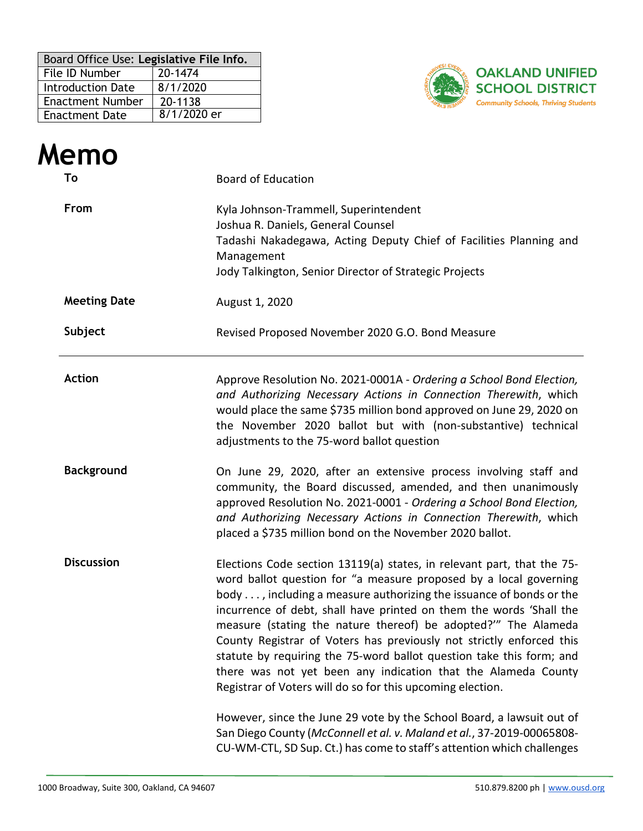| Board Office Use: Legislative File Info. |             |  |  |
|------------------------------------------|-------------|--|--|
| File ID Number                           | 20-1474     |  |  |
| <b>Introduction Date</b>                 | 8/1/2020    |  |  |
| <b>Enactment Number</b>                  | 20-1138     |  |  |
| <b>Enactment Date</b>                    | 8/1/2020 er |  |  |



|                                    | Memo                |                                                                                                                                                                                                                                                                                                                                                                                                                                                                                                                                                                                                                                           |  |  |  |
|------------------------------------|---------------------|-------------------------------------------------------------------------------------------------------------------------------------------------------------------------------------------------------------------------------------------------------------------------------------------------------------------------------------------------------------------------------------------------------------------------------------------------------------------------------------------------------------------------------------------------------------------------------------------------------------------------------------------|--|--|--|
|                                    | To                  | <b>Board of Education</b><br>Kyla Johnson-Trammell, Superintendent<br>Joshua R. Daniels, General Counsel<br>Tadashi Nakadegawa, Acting Deputy Chief of Facilities Planning and<br>Management<br>Jody Talkington, Senior Director of Strategic Projects                                                                                                                                                                                                                                                                                                                                                                                    |  |  |  |
|                                    | From                |                                                                                                                                                                                                                                                                                                                                                                                                                                                                                                                                                                                                                                           |  |  |  |
|                                    | <b>Meeting Date</b> | August 1, 2020                                                                                                                                                                                                                                                                                                                                                                                                                                                                                                                                                                                                                            |  |  |  |
|                                    | Subject             | Revised Proposed November 2020 G.O. Bond Measure                                                                                                                                                                                                                                                                                                                                                                                                                                                                                                                                                                                          |  |  |  |
| <b>Action</b><br><b>Background</b> |                     | Approve Resolution No. 2021-0001A - Ordering a School Bond Election,<br>and Authorizing Necessary Actions in Connection Therewith, which<br>would place the same \$735 million bond approved on June 29, 2020 on<br>the November 2020 ballot but with (non-substantive) technical<br>adjustments to the 75-word ballot question                                                                                                                                                                                                                                                                                                           |  |  |  |
|                                    |                     | On June 29, 2020, after an extensive process involving staff and<br>community, the Board discussed, amended, and then unanimously<br>approved Resolution No. 2021-0001 - Ordering a School Bond Election,<br>and Authorizing Necessary Actions in Connection Therewith, which<br>placed a \$735 million bond on the November 2020 ballot.                                                                                                                                                                                                                                                                                                 |  |  |  |
|                                    | <b>Discussion</b>   | Elections Code section 13119(a) states, in relevant part, that the 75-<br>word ballot question for "a measure proposed by a local governing<br>body , including a measure authorizing the issuance of bonds or the<br>incurrence of debt, shall have printed on them the words 'Shall the<br>measure (stating the nature thereof) be adopted?" The Alameda<br>County Registrar of Voters has previously not strictly enforced this<br>statute by requiring the 75-word ballot question take this form; and<br>there was not yet been any indication that the Alameda County<br>Registrar of Voters will do so for this upcoming election. |  |  |  |
|                                    |                     | However, since the June 29 vote by the School Board, a lawsuit out of<br>San Diego County (McConnell et al. v. Maland et al., 37-2019-00065808-<br>CU-WM-CTL, SD Sup. Ct.) has come to staff's attention which challenges                                                                                                                                                                                                                                                                                                                                                                                                                 |  |  |  |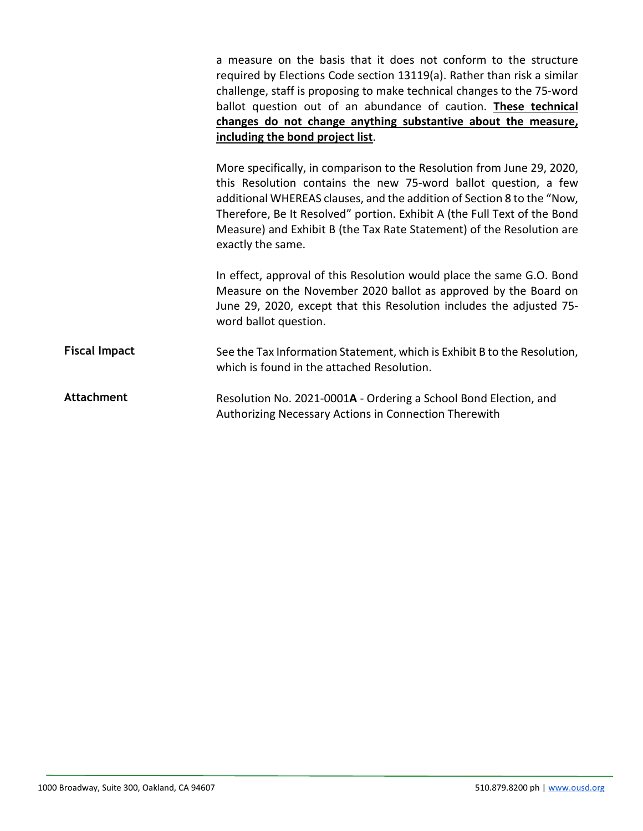a measure on the basis that it does not conform to the structure required by Elections Code section 13119(a). Rather than risk a similar challenge, staff is proposing to make technical changes to the 75-word ballot question out of an abundance of caution. **These technical changes do not change anything substantive about the measure, including the bond project list**.

More specifically, in comparison to the Resolution from June 29, 2020, this Resolution contains the new 75-word ballot question, a few additional WHEREAS clauses, and the addition of Section 8 to the "Now, Therefore, Be It Resolved" portion. Exhibit A (the Full Text of the Bond Measure) and Exhibit B (the Tax Rate Statement) of the Resolution are exactly the same.

In effect, approval of this Resolution would place the same G.O. Bond Measure on the November 2020 ballot as approved by the Board on June 29, 2020, except that this Resolution includes the adjusted 75 word ballot question.

**Fiscal Impact** See the Tax Information Statement, which is Exhibit B to the Resolution, which is found in the attached Resolution.

**Attachment** Resolution No. 2021-0001**A** - Ordering a School Bond Election, and Authorizing Necessary Actions in Connection Therewith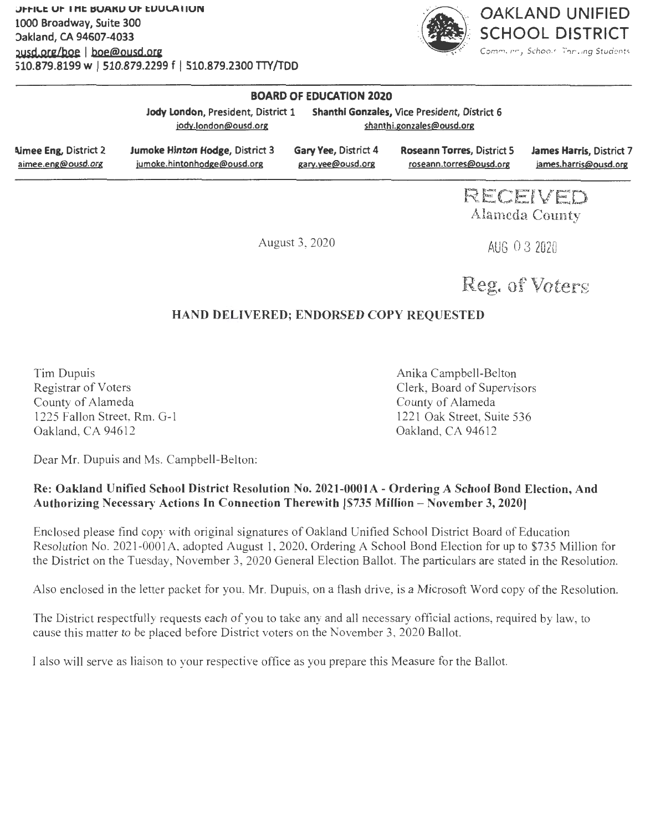

Community *Schools, Thriving Students* 

### **BOARD OF EDUCATION 2020**

|                              | Jody London, President, District 1     |                             | Shanthi Gonzales, Vice President, District 6 |                                 |
|------------------------------|----------------------------------------|-----------------------------|----------------------------------------------|---------------------------------|
|                              | jody.london@ousd.org                   |                             | shanthi.gonzales@ousd.org                    |                                 |
| <b>Nimee Eng. District 2</b> | <b>Jumoke Hinton Hodge, District 3</b> | <b>Gary Yee, District 4</b> | <b>Roseann Torres, District 5</b>            | <b>James Harris, District 7</b> |
| aimee.eng@ousd.org           | jumoke.hintonhodge@ousd.org            | gary.yee@ousd.org           | roseann.torres@ousd.org                      | james.harris@ousd.org           |

**RECEIVED Alameda County** 

August 3, 2020

AUG O 3 2020

**Reg. of Voters** 

### **HA D DELIVERED; ENDORSED COPY REQUESTED**

Tim Dupuis Registrar of Voters County of Alameda 1225 Fallon Street, Rm. G-1 Oakland, CA 94612

Anika Campbell-Belton Clerk, Board of Supervisors County of Alameda 1221 Oak Street, Suite 536 Oakland, CA 94612

Dear Mr. Dupuis and Ms. Campbell-Belton:

### Re: Oakland Unified School District Resolution No. 2021-0001A - Ordering A School Bond Election, And **Authorizing Necessary Actions** In **Connection Therewith [\$735 Million** - **November 3, 2020)**

Enclosed please find copy with original signatures of Oakland Unified School District Board of Education Resolution No. 2021-0001A, adopted August 1, 2020, Ordering A School Bond Election for up to \$735 Million for the District on the Tuesday, November 3, 2020 General Election Ballot. The particulars are stated in the Resolution.

Also enclosed in the letter packet for you, Mr. Dupuis, on a flash drive, is a Microsoft Word copy of the Resolution.

The District respectfully requests each of you to take any and all necessary official actions, required by law, to cause this matter to be placed before District voters on the November 3, 2020 Ballot.

I also will serve as liaison to your respective office as you prepare this Measure for the Ballot.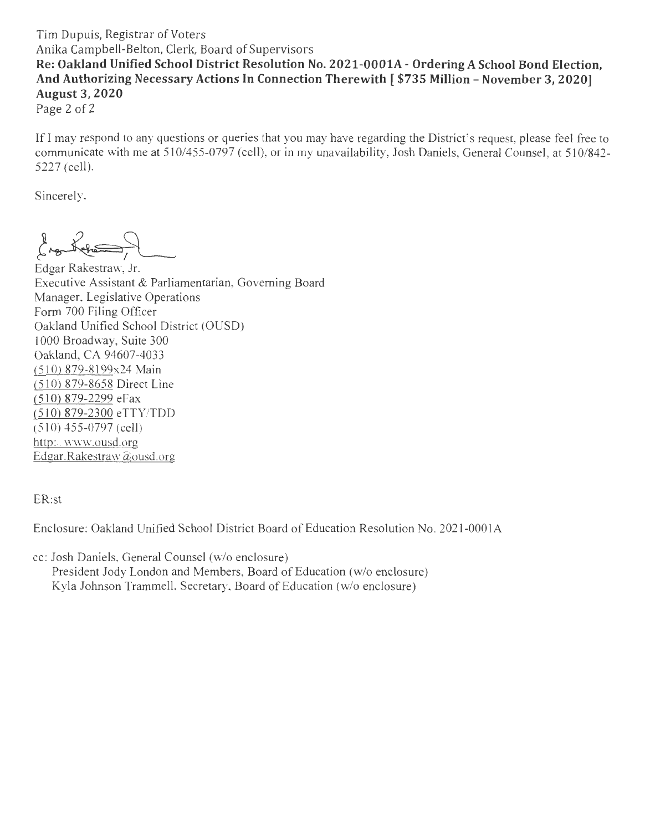### Tim Dupuis, Registrar of Voters Anika Campbell-Belton, Clerk, Board of Supervisors **Re: Oakland Unified School District Resolution No. 2021-0001A - Ordering A School Bond Election, And Authorizing Necessary Actions In Connection Therewith [ \$735 Million - November 3, 2 020) August 3, 2020**

Page 2 of 2

If I may respond to any questions or queries that you may have regarding the District's request, please feel free to communicate with me at 510/455-0797 (cell), or in my unavailability, Josh Daniels, General Counsel, at 510/842-5227 (cell).

Sincerely,

*t~-~ 3~* 

Edgar Rakestraw, Jr. Executive Assistant & Parliamentarian, Governing Board Manager, Legislative Operations Form 700 Filing Officer Oakland Unified School District (OUSD) 1000 Broadway, Suite 300 Oakland, CA 94607-4033 (510) 879-8199x24 Main (510) 879-8658 Direct Line (510) 879-2299 eFax (510) 879-2300 eTTY /TDD (510) 455-0797 (cell) http://www.ousd.org Edgar.Rakestraw@ousd.org

ER:st

Enclosure: Oakland Unified School District Board of Education Resolution No . 202 1-000 I A

cc: Josh Daniels, General Counsel (w/o enclosure) President Jody London and Members, Board of Education (w/o enclosure) Kyla Johnson Trammell, Secretary, Board of Education (w/o enclosure)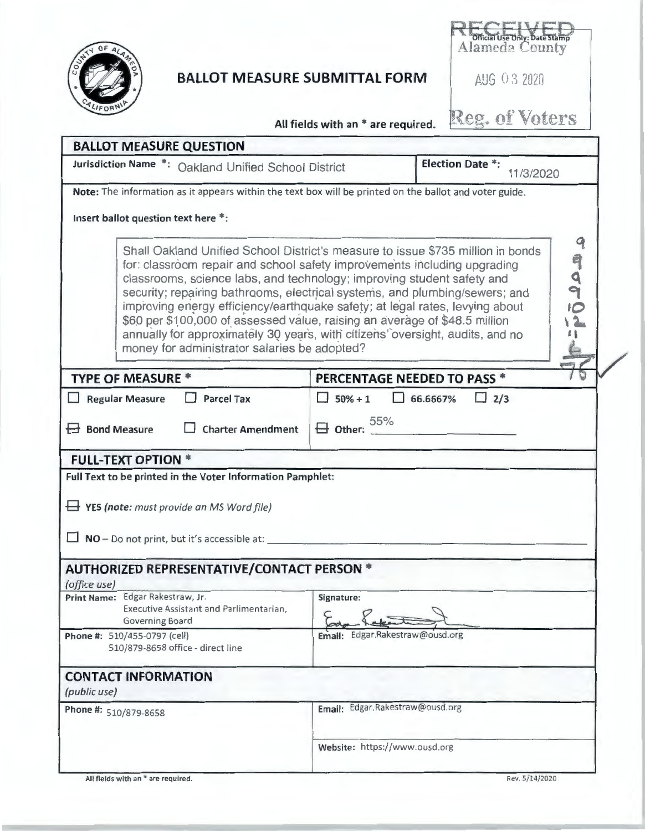

# **BALLOT MEASURE SUBMITTAL FORM AUG 0 3 2020**

Official Use Only: Date Stamp

Reg. of Voters

**All fields with an** \* **are required.** 

| Jurisdiction Name *: Oakland Unified School District                                                                                                                                                                                                                                                                                                                                                                                                                                                                                                                                                                |                                    | <b>Election Date *:</b><br>11/3/2020 |           |
|---------------------------------------------------------------------------------------------------------------------------------------------------------------------------------------------------------------------------------------------------------------------------------------------------------------------------------------------------------------------------------------------------------------------------------------------------------------------------------------------------------------------------------------------------------------------------------------------------------------------|------------------------------------|--------------------------------------|-----------|
| Note: The information as it appears within the text box will be printed on the ballot and voter guide.                                                                                                                                                                                                                                                                                                                                                                                                                                                                                                              |                                    |                                      |           |
| Insert ballot question text here *:                                                                                                                                                                                                                                                                                                                                                                                                                                                                                                                                                                                 |                                    |                                      |           |
| Shall Oakland Unified School District's measure to issue \$735 million in bonds<br>for: classroom repair and school safety improvements including upgrading<br>classrooms, science labs, and technology; improving student safety and<br>security; repairing bathrooms, electrical systems, and plumbing/sewers; and<br>improving energy efficiency/earthquake safety; at legal rates, levying about<br>\$60 per \$100,000 of assessed value, raising an average of \$48.5 million<br>annually for approximately 30 years, with citizens' oversight, audits, and no<br>money for administrator salaries be adopted? |                                    |                                      | 9<br>9995 |
| <b>TYPE OF MEASURE *</b>                                                                                                                                                                                                                                                                                                                                                                                                                                                                                                                                                                                            | <b>PERCENTAGE NEEDED TO PASS *</b> |                                      |           |
| <b>Parcel Tax</b><br>Regular Measure                                                                                                                                                                                                                                                                                                                                                                                                                                                                                                                                                                                | $50% + 1$                          | $\Box$ 66.6667%<br>$\Box$ 2/3        |           |
| $\boxminus$ Bond Measure<br><b>Charter Amendment</b>                                                                                                                                                                                                                                                                                                                                                                                                                                                                                                                                                                | $\boxminus$ Other: $55\%$          |                                      |           |
| <b>FULL-TEXT OPTION *</b>                                                                                                                                                                                                                                                                                                                                                                                                                                                                                                                                                                                           |                                    |                                      |           |
| Full Text to be printed in the Voter Information Pamphlet:                                                                                                                                                                                                                                                                                                                                                                                                                                                                                                                                                          |                                    |                                      |           |
| $\rightarrow$ YES (note: must provide an MS Word file)                                                                                                                                                                                                                                                                                                                                                                                                                                                                                                                                                              |                                    |                                      |           |
| $\Box$ NO - Do not print, but it's accessible at:                                                                                                                                                                                                                                                                                                                                                                                                                                                                                                                                                                   |                                    |                                      |           |
| <b>AUTHORIZED REPRESENTATIVE/CONTACT PERSON *</b><br>(office use)                                                                                                                                                                                                                                                                                                                                                                                                                                                                                                                                                   |                                    |                                      |           |
| Print Name: Edgar Rakestraw, Jr.<br>Executive Assistant and Parlimentarian,<br>Governing Board                                                                                                                                                                                                                                                                                                                                                                                                                                                                                                                      | Signature:                         |                                      |           |
| Phone #: 510/455-0797 (cell)<br>510/879-8658 office - direct line                                                                                                                                                                                                                                                                                                                                                                                                                                                                                                                                                   | Email: Edgar.Rakestraw@ousd.org    |                                      |           |
| <b>CONTACT INFORMATION</b>                                                                                                                                                                                                                                                                                                                                                                                                                                                                                                                                                                                          |                                    |                                      |           |
| (public use)                                                                                                                                                                                                                                                                                                                                                                                                                                                                                                                                                                                                        | Email: Edgar.Rakestraw@ousd.org    |                                      |           |
| Phone #: 510/879-8658                                                                                                                                                                                                                                                                                                                                                                                                                                                                                                                                                                                               |                                    |                                      |           |
|                                                                                                                                                                                                                                                                                                                                                                                                                                                                                                                                                                                                                     | Website: https://www.ousd.org      |                                      |           |
| All fields with an * are required.                                                                                                                                                                                                                                                                                                                                                                                                                                                                                                                                                                                  |                                    | Rev. 5/14/2020                       |           |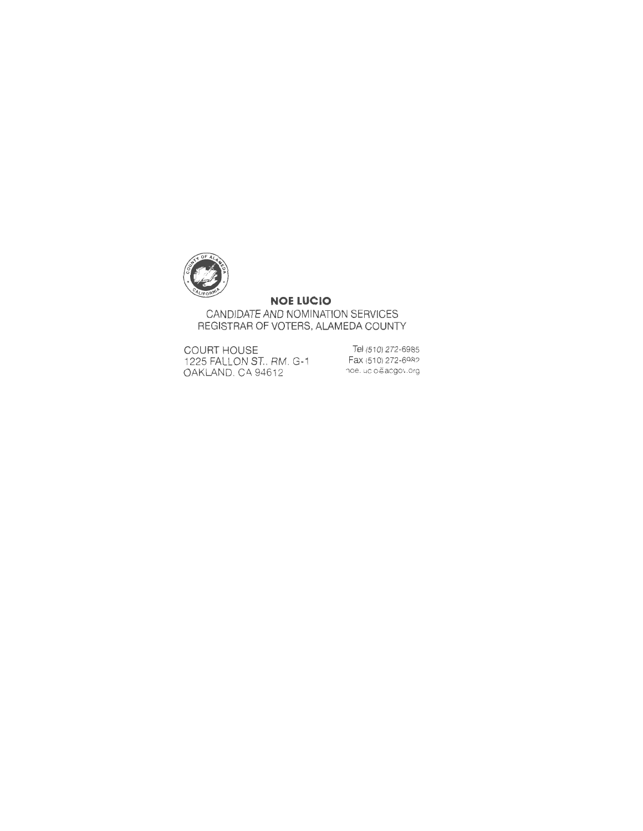

### **NOE LUCIO**

CANDIDATE AND NOMINATION SERVICES REGISTRAR OF VOTERS, ALAMEDA COUNTY

COURT HOUSE 1225 FALLON ST., RM . G-1 OAKLAND, CA 94612

Tel (510) 272-6985 Fax (510) 272-6982 noe. ucio@acgov.org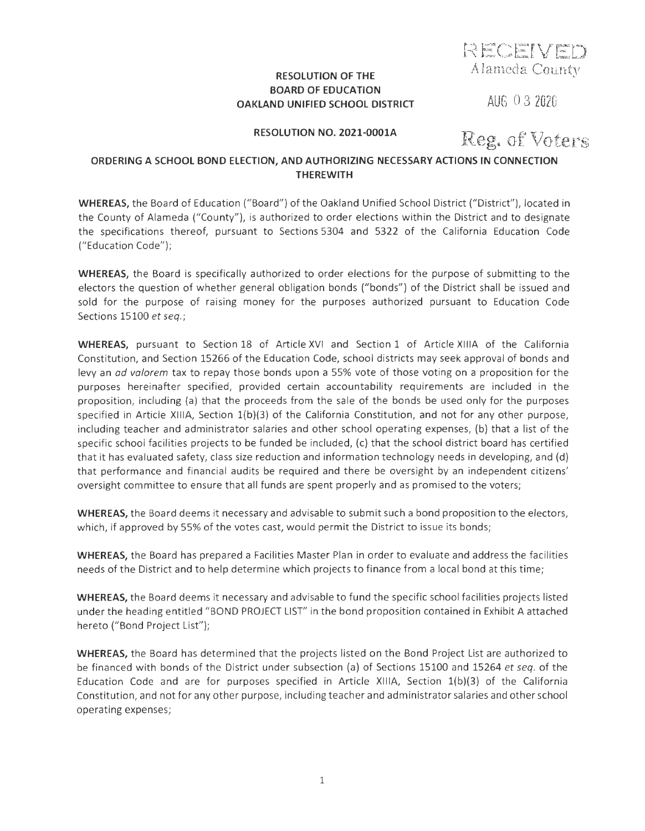**RECEIVED Alameda County** 

### **RESOLUTION OF THE BOARD OF EDUCATION OAKLAND UNIFIED SCHOOL DISTRICT**

**AUG** O 3 **2020** 

**RESOLUTION NO. 2021-000lA** 

**Reg. of Voters** 

### **ORDERING A SCHOOL BOND ELECTION, AND AUTHORIZING NECESSARY ACTIONS IN CONNECTION THEREWITH**

**WHEREAS,** the Board of Education (" Board") of the Oakland Unified School District ("District" ), located in the County of Alameda ("County"), is authorized to order elections within the District and to designate the specifications thereof, pursuant to Sections 5304 and 5322 of the California Education Code ("Education Code");

**WHEREAS,** the Board is specifically authorized to order elections for the purpose of submitting to the electors the question of whether general obligation bonds ("bonds") of the District shall be issued and sold for the purpose of raising money for the purposes authorized pursuant to Education Code Sections 15100 et seq.;

**WHEREAS,** pursuant to Section 18 of Article XVI and Section 1 of Article XIIIA of the California Constitution, and Section 15266 of the Education Code, school districts may seek approval of bonds and levy an *ad valorem* tax to repay those bonds upon a 55% vote of those voting on a proposition for the purposes hereinafter specified, provided certain accountability requirements are included in the proposition, including (a) that the proceeds from the sale of the bonds be used only for the purposes specified in Article XIIIA, Section  $1(b)(3)$  of the California Constitution, and not for any other purpose, including teacher and administrator salaries and other school operating expenses, (b) that a list of the specific school facilities projects to be funded be included, (c) that the school district board has certified that it has evaluated safety, class size reduction and information technology needs in developing, and (d) that performance and financial audits be required and there be oversight by an independent citizens' oversight committee to ensure that all funds are spent properly and as promised to the voters;

**WHEREAS,** the Board deems it necessary and advisable to submit such a bond proposition to the electors, which, if approved by 55% of the votes cast, would permit the District to issue its bonds;

**WHEREAS,** the Board has prepared a Facilities Master Plan in order to evaluate and address the facilities needs of the District and to help determine which projects to finance from a local bond at this time;

**WHEREAS,** the Board deems it necessary and advisable to fund the specific school facilities projects listed under the heading entitled "BOND PROJECT LIST" in the bond proposition contained in Exhibit A attached hereto ("Bond Project List");

**WHEREAS,** the Board has determined that the projects listed on the Bond Project List are authorized to be financed with bonds of the District under subsection (a) of Sections 15100 and 15264 et seq. of the Education Code and are for purposes specified in Article XIIIA, Section l(b)(3) of the California Constitution, and not for any other purpose, including teacher and administrator salaries and other school operating expenses;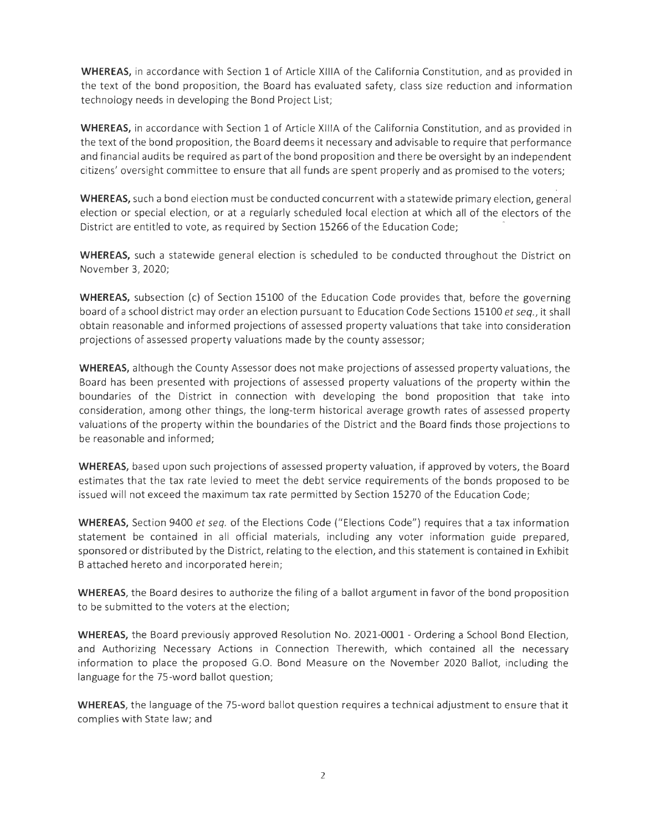**WHEREAS,** in accordance with Section 1 of Article XIIIA of the California Constitution, and as provided in the text of the bond proposition, the Board has evaluated safety, class size reduction and information technology needs in developing the Bond Project List;

**WHEREAS,** in accordance with Section 1 of Article XIIIA of the California Constitution, and as provided in the text of the bond proposition, the Board deems it necessary and advisable to require that performance and financial audits be required as part of the bond proposition and there be oversight by an independent citizens' oversight committee to ensure that all funds are spent properly and as promised to the voters;

**WHEREAS,** such a bond election must be conducted concurrent with a statewide primary election, general election or special election, or at a regularly scheduled local election at which all of the electors of the District are entitled to vote, as required by Section 15266 of the Education Code;

**WHEREAS,** such a statewide general election is scheduled to be conducted throughout the District on November 3, 2020;

**WHEREAS,** subsection (c) of Section 15100 of the Education Code provides that, before the governing board of a school district may order an election pursuant to Education Code Sections 15100 *et seq.,* it shall obtain reasonable and informed projections of assessed property valuations that take into consideration projections of assessed property valuations made by the county assessor;

**WHEREAS,** although the County Assessor does not make projections of assessed property valuations, the Board has been presented with projections of assessed property valuations of the property within the boundaries of the District in connection with developing the bond proposition that take into cons ideration, among other things, the long-term historical average growth rates of assessed property valuations of the property within the boundaries of the District and the Board finds those projections to be reasonable and informed;

**WHEREAS,** based upon such projections of assessed property valuation, if approved by voters, the Board estimates that the tax rate levied to meet the debt service requirements of the bonds proposed to be issued will not exceed the maximum tax rate permitted by Section 15270 of the Education Code;

**WHEREAS,** Section 9400 *et seq.* of the Elections Code ("Elections Code") requires that a tax information statement be contained in all official materials, including any voter information guide prepared, sponsored or distributed by the District, relating to the election, and this statement is contained in Exhibit B attached hereto and incorporated herein;

**WHEREAS,** the Board desires to authorize the filing of a ballot argument in favor of the bond proposition to be submitted to the voters at the election;

**WHEREAS,** the Board previously approved Resolution No. 2021-0001 - Ordering a School Bond Election, and Authorizing Necessary Actions in Connection Therewith, which contained all the necessary information to place the proposed G.O. Bond Measure on the November 2020 Ballot, including the language for the 75-word ballot question;

**WHEREAS,** the language of the 75-word ballot question requires a technical adjustment to ensure that it complies with State law; and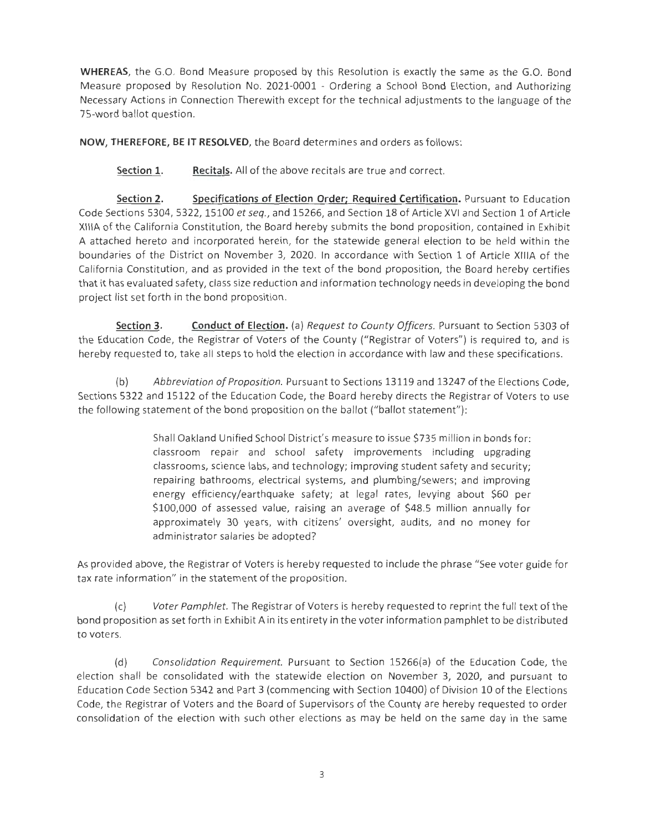**WHEREAS,** the G.O. Bond Measure proposed by this Resolution is exactly the same as the G.O. Bond Measure proposed by Resolution No. 2021-0001 - Ordering a School Bond Election, and Authorizing Necessary Actions in Connection Therewith except for the technical adjustments to the language of the 75-word ballot question.

**NOW, THEREFORE, BE IT RESOLVED,** the Board determines and orders as follows:

**Section 1.** Recitals. All of the above recitals are true and correct.

**Section 2. Specifications of Election Order; Required Certification.** Pursuant to Education Code Sections 5304, 5322, 15100 *et seq.,* and 15266, and Section 18 of Article XVI and Section 1 of Article XIIIA of the California Constitution, the Board hereby submits the bond proposition, contained in Exhibit A attached hereto and incorporated herein, for the statewide general election to be held within the boundaries of the District on November 3, 2020. In accordance with Section 1 of Article XIIIA of the California Constitution, and as provided in the text of the bond proposition, the Board hereby certifies that it has evaluated safety, class size reduction and information technology needs in developing the bond project list set forth in the bond proposition.

**Section 3. Conduct of Election.** (a) *Request to County Officers.* Pursuant to Section 5303 of the Education Code, the Registrar of Voters of the County (" Registrar of Voters") is required to, and is hereby requested to, take all steps to hold the election in accordance with law and these specifications.

(b) *Abbreviation of Proposition.* Pursuant to Sections 13119 and 13247 ofthe Elections Code, Sections 5322 and 15122 of the Education Code, the Board hereby directs the Registrar of Voters to use the following statement of the bond proposition on the ballot ("ballot statement"):

> Shall Oakland Unified School District's measure to issue \$735 million in bonds for: classroom repair and school safety improvements including upgrading classrooms, science labs, and technology; improving student safety and security; repairing bathrooms, electrical systems, and plumbing/sewers; and improving energy efficiency/earthquake safety; at legal rates, levying about \$60 per \$100,000 of assessed value, raising an average of \$48.5 million annually for approximately 30 years, with citizens' oversight, audits, and no money for administrator salaries be adopted?

As provided above, the Registrar of Voters is hereby requested to include the phrase "See voter guide for tax rate information" in the statement of the proposition.

(c) *Voter Pamphlet.* The Registrar of Voters is hereby requested to reprint the full text of the bond proposition as set forth in Exhibit A in its entirety in the voter information pamphlet to be distributed to voters.

(d) *Consolidation Requirement.* Pursuant to Section 15266(a) of the Education Code, the election shall be consolidated with the statewide election on November 3, 2020, and pursuant to Education Code Section 5342 and Part 3 (commencing with Section 10400) of Division 10 of the Elections Code, the Registrar of Voters and the Board of Supervisors of the County are hereby requested to order consolidation of the election with such other elections as may be held on the same day in the same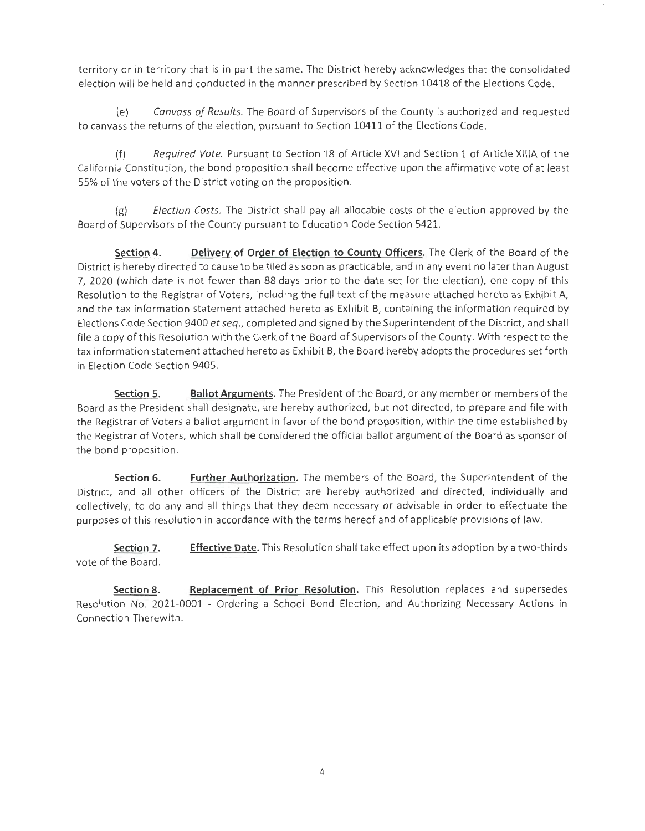territory or in territory that is in part the same. The District hereby acknowledges that the consolidated election will be held and conducted in the manner prescribed by Section 10418 of the Elections Code.

(e) *Canvass of Results.* The Board of Supervisors of the County is authorized and requested to canvass the returns of the election, pursuant to Section 10411 of the Elections Code.

(f) *Required Vote.* Pursuant to Section 18 of Article XVI and Section 1 of Article XIIIA of the California Constitution, the bond proposition shall become effective upon the affirmative vote of at least 55% of the voters of the District voting on the proposition.

(g) *Election Costs.* The District shall pay all allocable costs of the election approved by the Board of Supervisors of the County pursuant to Education Code Section 5421.

**Section 4. Delivery of Order of Election to County Officers.** The Clerk of the Board of the District is hereby directed to cause to be filed as soon as practicable, and in any event no later than August 7, 2020 (which date is not fewer than 88 days prior to the date set for the election), one copy of this Resolution to the Registrar of Voters, including the full text of the measure attached hereto as Exhibit A, and the tax information statement attached hereto as Exhibit B, containing the information required by Elections Code Section 9400 *et seq.,* completed and signed by the Superintendent of the District, and shall file a copy of this Resolution with the Clerk of the Board of Supervisors of the County. With respect to the tax information statement attached hereto as Exhibit B, the Board hereby adopts the procedures set forth in Election Code Section 9405.

**Section 5. Ballot Arguments.** The President of the Board, or any member or members of the Board as the President shall designate, are hereby authorized, but not directed, to prepare and file with the Registrar of Voters a ballot argument in favor of the bond proposition, within the time established by the Registrar of Voters, which shall be considered the official ballot argument of the Board as sponsor of the bond proposition.

**Section 6. Further Authorization.** The members of the Board, the Superintendent of the District, and all other officers of the District are hereby authorized and directed, individually and collectively, to do any and all things that they deem necessary or advisable in order to effectuate the purposes of this resolution in accordance with the terms hereof and of applicable provisions of law.

**Section 7.**  vote of the Board. **Effective Date.** This Resolution shall take effect upon its adoption by a two-thirds

**Section 8. Replacement of Prior Resolution.** This Resolution replaces and supersedes Resolution No. 2021-0001 - Ordering a School Bond Election, and Authorizing Necessary Actions in Connection Therewith.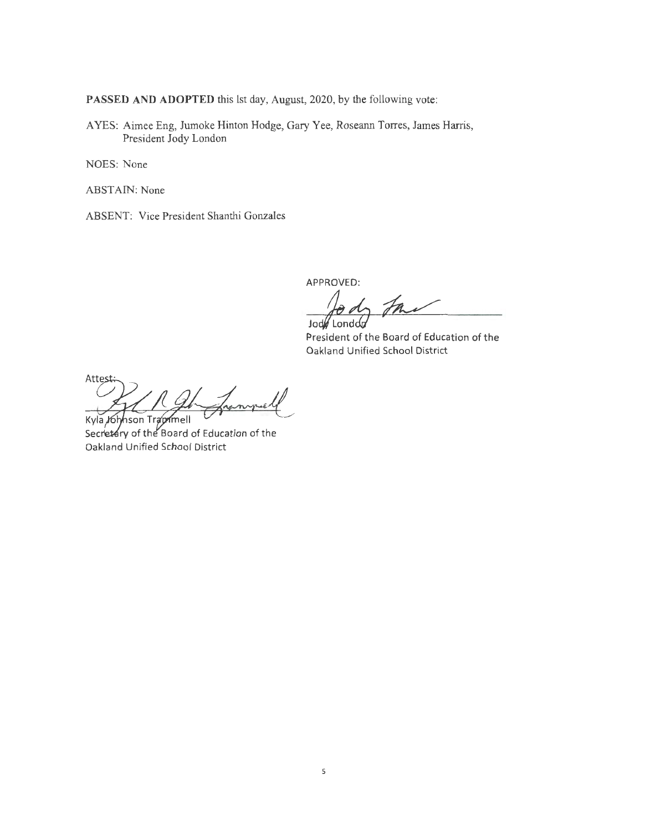PASSED AND ADOPTED this lst day, August, 2020, by the following vote:

A YES: Aimee Eng, Jumoke Hinton Hodge, Gary Yee, Roseann Torres, James Harris, President Jody London

NOES: None

ABSTAIN: None

ABSENT: Vice President Shanthi Gonzales

APPROVED:

Jody fait

President of the Board of Education of the Oakland Unified School District

Attes Kyla Johnson Trapmell

Secretary of the Board of Education of the Oakland Unified School District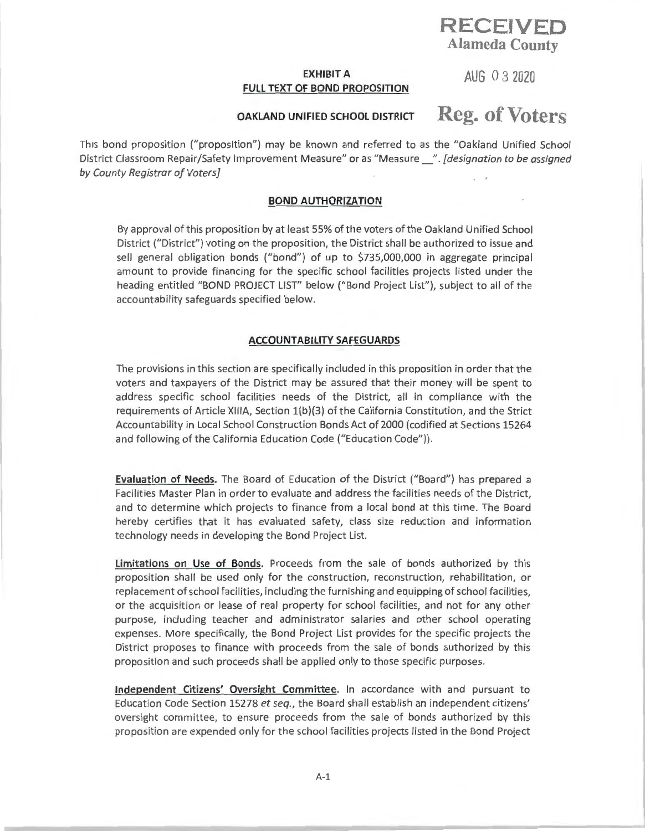## **RECEIVED Alameda County**

### **EXHIBIT A AUG** O 3 **<sup>2020</sup> FULL TEXT OF BOND PROPOSITION**

# **OAKLAND UNIFIED SCHOOL DISTRICT Reg. of Voters**

This bond proposition ("proposition") may be known and referred to as the "Oakland Unified School District Classroom Repair/Safety Improvement Measure" or as "Measure\_". *[designation to be assigned by County Registrar of Voters]* 

### **BOND AUTHORIZATION**

By approval of this proposition by at least 55% of the voters of the Oakland Unified School District ("District") voting on the proposition, the District shall be authorized to issue and sell general obligation bonds ("bond") of up to \$735,000,000 in aggregate principal amount to provide financing for the specific school facilities projects listed under the heading entitled "BOND PROJECT LIST" below ("Bond Project List"), subject to all of the accountability safeguards specified below.

### **ACCOUNTABILITY SAFEGUARDS**

The provisions in this section are specifically included in this proposition in order that the voters and taxpayers of the District may be assured that their money will be spent to address specific sch ool facilities needs of the District, all in compliance with the requirements of Article XIIIA, Section 1(b)(3) of the California Constitution, and the Strict Accountability in Local School Construction Bonds Act of 2000 (codified at Sections 15264 and following of the California Education Code ("Education Code")).

**Evaluation of Needs.** The Board of Education of the District ("Board") has prepared a Facilities Master Plan in order to evaluate and address the facilities needs of the District, and to determine which projects to finance from a local bond at this time. The Board hereby certifies that it has evaluated safety, class size reduction and information technology needs in developing the Bond Project List.

**Limitations on Use of Bonds.** Proceeds from the sale of bonds authorized by this proposition shall be used only for the construction, reconstruction, rehabilitation, or replacement of school facilities, including the furnishing and equipping of school facilities, or the acquisition or lease of real property for school facilities, and not for any other purpose, including teacher and administrator salaries and other school operating expenses. More specifically, the Bond Project List provides for the specific projects the District proposes to finance with proceeds from the sale of bonds authorized by this proposition and such proceeds shall be applied only to those specific purposes.

**Independent Citizens' Oversight Committee.** In accordance with and pursuant to Education Code Section 15278 *et seq.,* the Board shall establish an independent citizens' oversight committee, to ensure proceeds from the sale of bonds authorized by this proposition are expended only for the school facilities projects listed in the Bond Project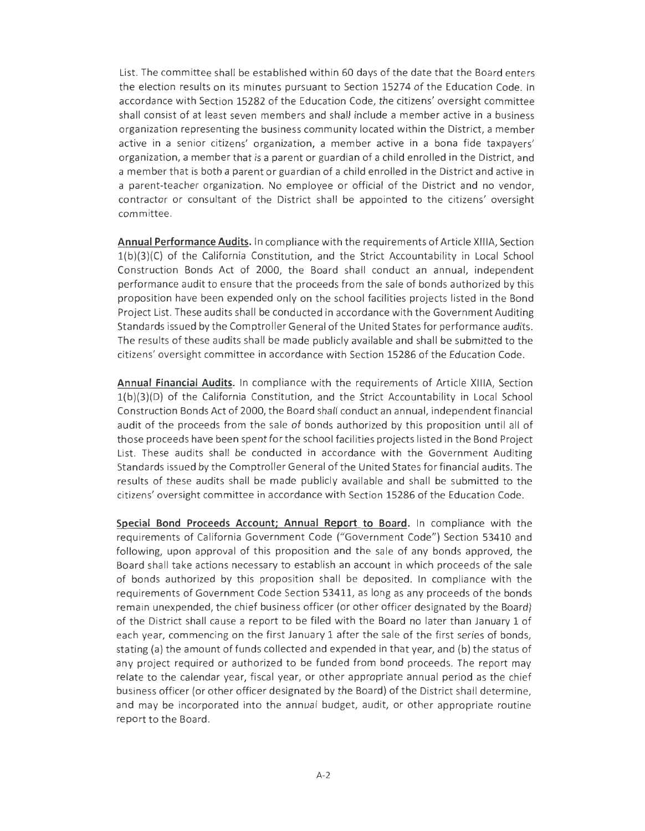List. The committee shall be established within 60 days of the date that the Board enters the election results on its minutes pursuant to Section 15274 of the Education Code . In accordance with Section 15282 of the Education Code, the citizens' oversight committee shall consist of at least seven members and shall include a member active in a business organization representing the business community located within the District, a member active in a senior citizens' organization, a member active in a bona fide taxpayers' organization, a member that is a parent or guardian of a child enrolled in the District, and a member that is both a parent or guardian of a child enrolled in the District and active in a parent-teacher organization . No employee or official of the District and no vendor, contractor or consultant of the District shall be appointed to the citizens' oversight committee .

**Annual Performance Audits.** In compliance with the requirements of Article XII IA, Section  $1(b)(3)(C)$  of the California Constitution, and the Strict Accountability in Local School Construction Bonds Act of 2000, the Board shall conduct an annual, independent performance audit to ensure that the proceeds from the sale of bonds authorized by this proposition have been expended only on the school facilities projects listed in the Bond Project List. These audits shall be conducted in accordance with the Government Auditing Standards issued by the Comptroller General of the United States for performance audits. The results of these audits shall be made publicly available and shall be submitted to the citizen s' oversight committee in accordance with Section 15286 of the Education Code.

**Annual Financial Audits.** In compliance w ith the requirements of Article XIIIA, Section l(b)(3)(D) of the California Constitution, and the Strict Accountability in Local School Construction Bonds Act of 2000, the Board shall conduct an annual, independent financial audit of the proceeds from the sale of bonds authorized by this proposition until all of those proceeds have been spent for the school facilities projects listed in the Bond Project List. These audits shall be conducted in accordance with the Government Auditing Standards issued by the Comptroller General of the United States for financial audits. The results of these audits shall be made publicly available and shall be submitted to the citizens' oversight committee in accordance with Section 15286 of the Education Code.

**Special Bond Proceeds Account; Annual Report to Board.** In compliance with the requirements of California Government Code ("Government Code" ) Section 53410 and following, upon approval of this proposition and the sale of any bonds approved, the Board shall take actions necessary to establish an account in which proceeds of the sale of bonds authorized by this proposition shall be deposited. In compliance with the requirements of Government Code Section 53411, as long as any proceeds of the bonds remain unexpended, the chief business officer (or other officer designated by the Board) of the District shall cause a report to be filed with the Board no later than January 1 of each year, commencing on the first January 1 after the sale of the first series of bonds, stating (a) the amount of funds collected and expended in that year, and (b) the status of any project required or authorized to be funded from bond proceeds. The report may relate to the calendar year, fiscal year, or other appropriate annual period as the chief business officer (or other officer designated by the Board) of the District shall determine, and may be incorporated into the annual budget, audit, or other appropriate routine report to the Board.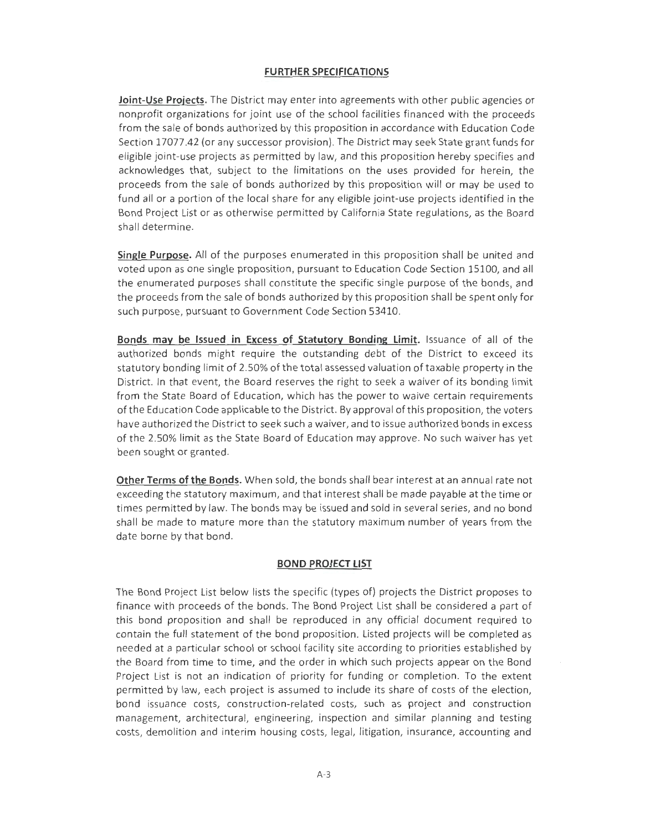### **FURTHER SPECIFICATIONS**

**Joint-Use Projects.** The District may enter into agreements with other public agencies or nonprofit organizations for joint use of the school facilities financed with the proceeds from the sale of bonds authorized by this proposition in accordance with Education Code Section 17077.42 (or any successor provision). The District may seek State grant funds for eligible joint-use projects as permitted by law, and this proposition hereby specifies and acknowledges that, subject to the limitations on the uses provided for herein, the proceeds from the sale of bonds authorized by this proposition will or may be used to fund all or a portion of the local share for any eligible joint-use projects identified in the Bond Project List or as otherwise permitted by California State regulations, as the Board shall determine.

**Single Purpose.** All of the purposes enumerated in this proposition shall be united and voted upon as one single proposition, pursuant to Education Code Section 15100, and all the enumerated purposes shall constitute the specific single purpose of the bonds, and the proceeds from the sale of bonds authorized by this proposition shall be spent only for such purpose, pursuant to Government Code Section 53410.

**Bonds may be Issued in Excess of Statutory Bonding Limit.** Issuance of all of the authorized bonds might require the outstanding debt of the District to exceed its statutory bonding limit of 2.50% of the total assessed valuation of taxable property in the District. In that event, the Board reserves the right to seek a waiver of its bonding limit from the State Board of Education, which has the power to waive certain requirements of the Education Code applicable to the District. By approval of this proposition, the voters have authorized the District to seek such a waiver, and to issue authorized bonds in excess of the 2.50% limit as the State Board of Education may approve. No such waiver has yet been sought or granted.

**Other Terms of the Bonds.** When sold, the bonds shall bear interest at an annual rate not exceeding the statutory maximum, and that interest shall be made payable at the time or times permitted by law. The bonds may be issued and sold in several series, and no bond shall be made to mature more than the statutory maximum number of years from the date borne by that bond.

#### **BOND PROJECT LIST**

The Bond Project List below lists the specific (types of) projects the District proposes to finance with proceeds of the bonds. The Bond Project List shall be considered a part of this bond proposition and shall be reproduced in any official document required to contain the full statement of the bond proposition. Listed projects will be completed as needed at a particular school or school facility site according to priorities established by the Board from time to time, and the order in which such projects appear on the Bond Project List is not an indication of priority for funding or completion. To the extent permitted by law, each project is assumed to include its share of costs of the election, bond issuance costs, construction-related costs, such as project and construction management, architectural, engineering, inspection and similar planning and testing costs, demolition and interim housing costs, legal, litigation, insurance, accounting and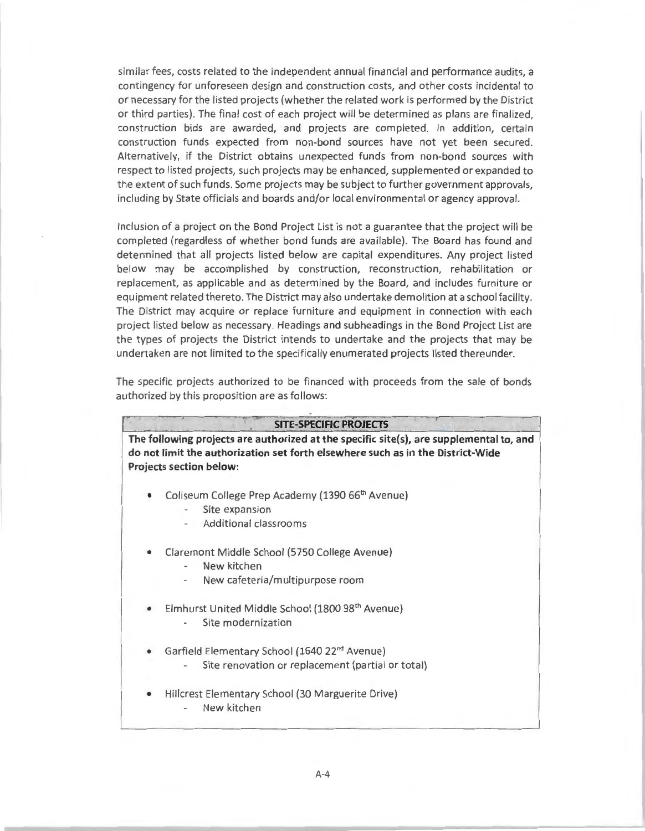similar fees, costs related to the independent annual financial and performance audits, a contingency for unforeseen design and construction costs, and other costs incidental to or necessary for the listed projects (whether the related work is performed by the District or third parties). The final cost of each project will be determined as plans are finalized, construction bids are awarded, and projects are completed. In addition, certain construction funds expected from non-bond sources have not yet been secured. Alternatively, if the District obtains unexpected funds from non-bond sources with respect to listed projects, such projects may be enhanced, supplemented or expanded to the extent of such funds. Some projects may be subject to further government approvals, including by State officials and boards and/or local environmental or agency approval.

Inclusion of a project on the Bond Project List is not a guarantee that the project will be completed (regardless of whether bond funds are available). The Board has found and determined that all projects listed below are capital expenditures. Any project listed below may be accomplished by construction, reconstruction, rehabilitation or replacement, as applicable and as determined by the Board, and includes furniture or equipment related thereto . The District may also undertake demolition at a school facility. The District may acquire or replace furniture and equipment in connection with each project listed below as necessary. Headings and subheadings in the Bond Project List are the types of projects the District intends to undertake and the projects that may be undertaken are not limited to the specifically enumerated projects listed thereunder.

The specific projects authorized to be financed with proceeds from the sale of bonds authorized by this proposition are as follows:

#### . **SITE-SPECIFIC PROJECTS**

**The following projects are authorized at the specific site(s), are supplemental to, and do not limit the authorization set forth elsewhere such as in the District-Wide Projects section below:** 

- Coliseum College Prep Academy (1390 66<sup>th</sup> Avenue)
	- Site expansion
	- Additional classrooms
- Claremont Middle School {5750 College Avenue)
	- New kitchen
	- New cafeteria/multipurpose room
- Elmhurst United Middle School (1800 98<sup>th</sup> Avenue)
	- Site modernization
- Garfield Elementary School (1640 22<sup>nd</sup> Avenue)
	- Site renovation or replacement (partial or total)
- Hillcrest Elementary School {30 Marguerite Drive) New kitchen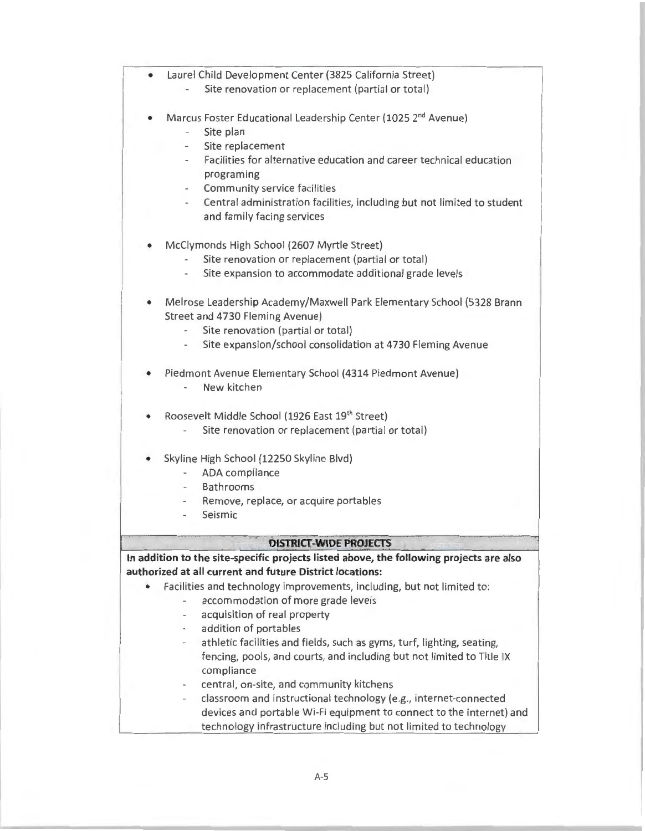- Laurel Child Deve lopment Center (3825 California Street)
	- Site renovation or replacement (partial or total)
- Marcus Foster Educational Leadership Center (1025 2<sup>nd</sup> Avenue)
	- Site plan
	- Site replacement
	- Facilities for alternative education and career technical education programing
	- Community service facilities
	- Central administration facilities, including but not limited to student and family facing services
- Mcclymonds High School (2607 Myrtle Street)
	- Site renovation or replacement (partial or total)
	- Site expansion to accommodate additional grade levels
- Melrose Leadership Academy/Maxwell Park Elementary School (5328 Brann Street and 4730 Fleming Avenue)
	- Site renovation (partial or total)
	- Site expansion/school consolidation at 4730 Fleming Avenue
- Piedmont Avenue Elementary School (4314 Piedmont Avenue)
	- New kitchen
- Roosevelt Middle School (1926 East 19th Street)
	- Site renovation or replacement (partial or total)
- Skyline High School (12250 Skyline Blvd)
	- ADA compliance
	- Bathrooms
	- Remove, replace, or acquire portables
	- Seismic

#### **DISTRICT-WIDE PROJECTS**

**In addition to the site-specific projects listed above, the following projects are also authorized at all current and future District locations:** 

- Facilities and technology improvements, including, but not limited to:
	- accommodation of more grade levels
	- acquisition of real property
	- addition of portables
	- athletic facilities and fields, such as gyms, turf, lighting, seating, fencing, pools, and courts, and including but not limited to Title IX compliance
	- central, on-site, and community kitchens
	- classroom and instructional technology (e.g., internet-connected devices and portable Wi-Fi equipment to connect to the internet) and technology infrastructure including but not limited to technology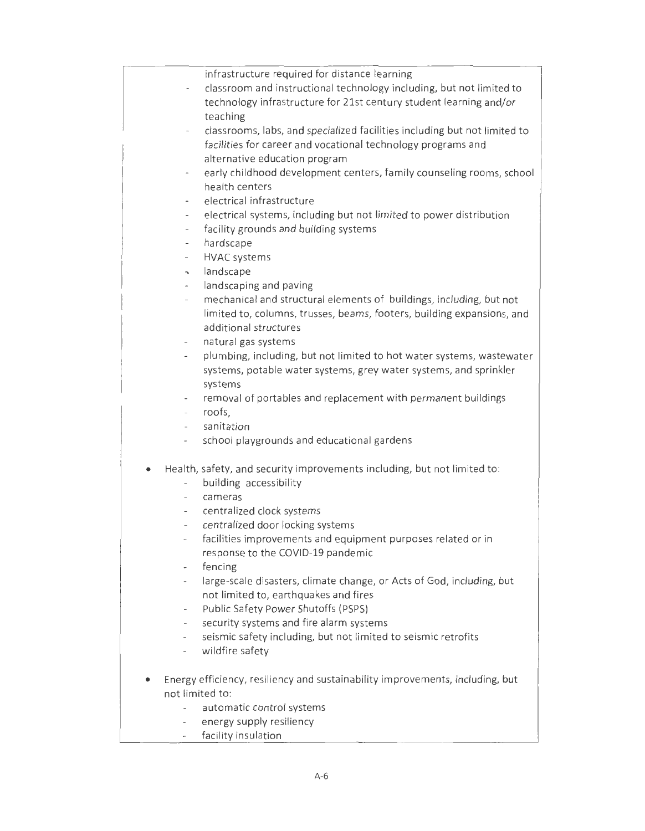|                              | infrastructure required for distance learning                                 |
|------------------------------|-------------------------------------------------------------------------------|
|                              | classroom and instructional technology including, but not limited to          |
|                              | technology infrastructure for 21st century student learning and/or            |
|                              | teaching                                                                      |
|                              | classrooms, labs, and specialized facilities including but not limited to     |
|                              | facilities for career and vocational technology programs and                  |
|                              | alternative education program                                                 |
| $\overline{\phantom{a}}$     | early childhood development centers, family counseling rooms, school          |
|                              | health centers                                                                |
| $\overline{\phantom{a}}$     | electrical infrastructure                                                     |
|                              | electrical systems, including but not limited to power distribution           |
| $\overline{\phantom{a}}$     | facility grounds and building systems                                         |
| $\overline{\phantom{a}}$     | hardscape                                                                     |
| $\overline{\phantom{a}}$     | HVAC systems                                                                  |
| $\mathbf{r}$                 | landscape                                                                     |
| $\overline{\phantom{a}}$     | landscaping and paving                                                        |
| $\overline{\phantom{a}}$     | mechanical and structural elements of buildings, including, but not           |
|                              | limited to, columns, trusses, beams, footers, building expansions, and        |
|                              | additional structures                                                         |
|                              | natural gas systems                                                           |
| $\frac{1}{2}$                | plumbing, including, but not limited to hot water systems, wastewater         |
|                              | systems, potable water systems, grey water systems, and sprinkler             |
|                              | systems                                                                       |
| $\qquad \qquad \blacksquare$ | removal of portables and replacement with permanent buildings                 |
| $\qquad \qquad -$            | roofs,                                                                        |
| $\overline{\phantom{0}}$     | sanitation                                                                    |
|                              | school playgrounds and educational gardens                                    |
|                              |                                                                               |
|                              | Health, safety, and security improvements including, but not limited to:      |
|                              | building accessibility                                                        |
|                              | cameras                                                                       |
|                              | centralized clock systems                                                     |
| $\overline{\phantom{a}}$     | centralized door locking systems                                              |
|                              | facilities improvements and equipment purposes related or in                  |
|                              | response to the COVID-19 pandemic                                             |
|                              | fencing                                                                       |
|                              | large-scale disasters, climate change, or Acts of God, including, but         |
|                              | not limited to, earthquakes and fires                                         |
| $\overline{\phantom{0}}$     | Public Safety Power Shutoffs (PSPS)                                           |
|                              | security systems and fire alarm systems                                       |
| $\overline{\phantom{a}}$     | seismic safety including, but not limited to seismic retrofits                |
| $\overline{\phantom{a}}$     | wildfire safety                                                               |
|                              |                                                                               |
|                              | Energy efficiency, resiliency and sustainability improvements, including, but |
|                              | not limited to:                                                               |
|                              | automatic control systems                                                     |
| ۰.                           | energy supply resiliency                                                      |

facility insulation  $\bar{z}$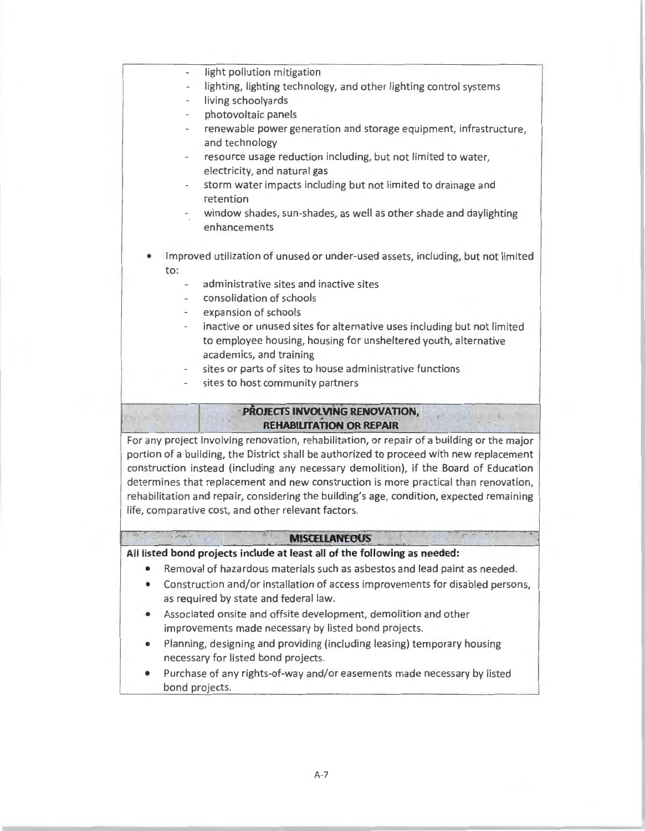- light pollution mitigation
- lighting, lighting technology, and other lighting control systems
- living schoolyards
- photovoltaic panels
- renewable power generation and storage equipment, infrastructure, and technology
- resource usage reduction including, but not limited to water, electricity, and natural gas
- storm water impacts including but not limited to drainage and retention
- window shades, sun-shades, as well as other shade and daylighting enhancements
- Improved utilization of unused or under-used assets, including, but not limited to:
	- administrative sites and inactive sites
	- consolidation of schools
	- expansion of schools
	- inactive or unused sites for alternative uses including but not limited to employee housing, housing for unsheltered youth, alternative academics, and training

,-

- sites or parts of sites to house administrative functions
- sites to host community partners

### **PROJECTS INVOLVING RENOVATION, REHABILITATION OR REPAIR**

For any project involving renovation, rehabilitation, or repair of a building or the major portion of a building, the District shall be authorized to proceed with new replacement construction instead (including any necessary demolition), if the Board of Education determines that replacement and new construction is more practical than renovation, rehabilitation and repair, considering the building's age, condition, expected remaining life, comparative cost, and other relevant factors.

#### **MISCELLANEOUS**

#### **All listed bond projects include at least all of the following as needed:**

- Removal of hazardous materials such as asbestos and lead paint as needed.
- Construction and/or installation of access improvements for disabled persons, as required by state and federal law.
- Associated onsite and offsite development, demolition and other improvements made necessary by listed bond projects.
- Planning, designing and providing (including leasing) temporary housing necessary for listed bond projects.
- Purchase of any rights-of-way and/or easements made necessary by listed bond projects.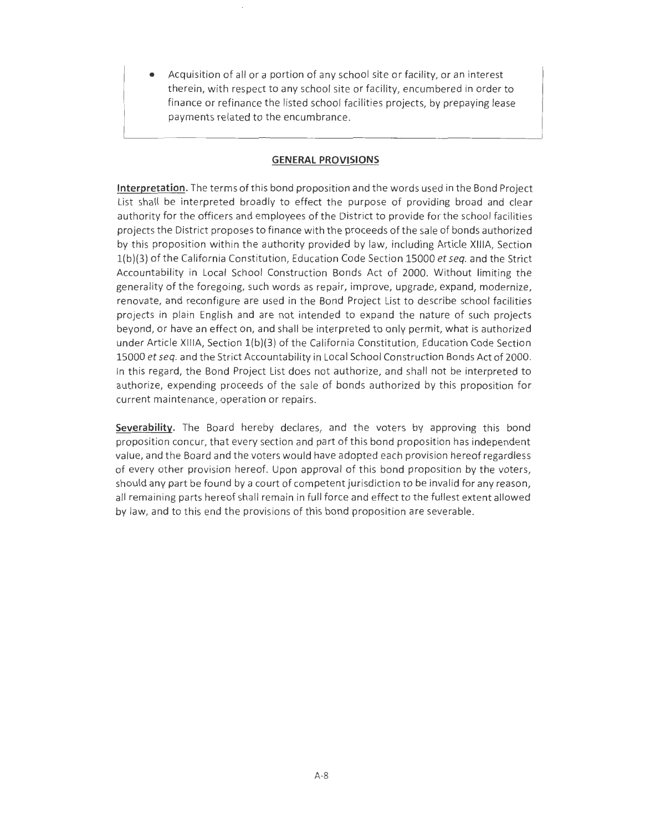• Acquisition of all or a portion of any school site or facility, or an interest therein, with respect to any school site or facility, encumbered in order to finance or refinance the listed school facilities projects, by prepaying lease payments related to the encumbrance.

#### **GENERAL PROVISIONS**

**Interpretation.** The terms of this bond proposition and the words used in the Bond Project List shall be interpreted broadly to effect the purpose of providing broad and clear authority for the officers and employees of the District to provide for the school facilities projects the District proposes to finance with the proceeds of the sale of bonds authorized by this proposition within the authority provided by law, including Article XIIIA, Section l(b)(3) of the California Constitution, Education Code Section 15000 *et seq.* and the Strict Accountability in Local School Construction Bonds Act of 2000. Without limiting the generality of the foregoing, such words as repair, improve, upgrade, expand, modernize, renovate, and reconfigure are used in the Bond Project List to describe school facilities projects in plain English and are not intended to expand the nature of such projects beyond, or have an effect on, and shall be interpreted to only permit, what is authorized under Article **XIIIA,** Section l(b)(3) of the California Constitution, Education Code Section 15000 *et seq.* and the Strict Accountability in Local School Construction Bonds Act of 2000. In this regard, the Bond Project List does not authorize, and shall not be interpreted to authorize, expending proceeds of the sale of bonds authorized by this proposition for current maintenance, operation or repairs .

**Severability.** The Board hereby declares, and the voters by approving this bond proposition concur, that every section and part of this bond proposition has independent value, and the Board and the voters would have adopted each provision hereof regardless of every other provision hereof. Upon approval of this bond proposition by the voters, should any part be found by a court of competent jurisdiction to be invalid for any reason, all remaining parts hereof shall remain in full force and effect to the fullest extent allowed by law, and to this end the provisions of this bond proposition are severable.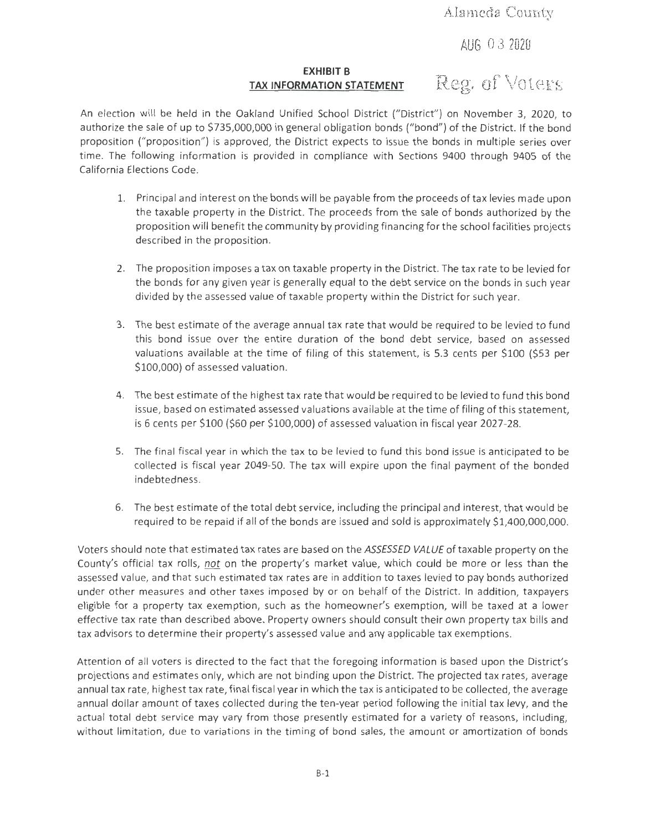**Alameda County** 

**AUG** O 3 **<sup>2020</sup>**

#### **EXHIBIT B TAX INFORMATION STATEMENT Reg. of Voters**

An election will be held in the Oakland Unified School District ("District") on November 3, 2020, to authorize the sale of up to \$735,000,000 in general obligation bonds ("bond") of the District. If the bond proposition ("proposition") is approved, the District expects to issue the bonds in multiple series over time. The following information is provided in compliance with Sections 9400 through 9405 of the California Elections Code .

- 1. Principal and interest on the bonds will be payable from the proceeds of tax levies made upon the taxable property in the District. The proceeds from the sale of bonds authorized by the proposition will benefit the community by providing financing for the school facilities projects described in the proposition.
- 2. The proposition imposes a tax on taxable property in the District. The tax rate to be levied for the bonds for any given year is generally equal to the debt service on the bonds in such year divided by the assessed value of taxable property within the District for such year.
- 3. The best estimate of the average annual tax rate that would be required to be levied to fund this bond issue over the entire duration of the bond debt service, based on assessed valuations available at the time of filing of this statement, is 5.3 cents per \$100 (\$53 per \$100,000) of assessed valuation.
- 4. The best estimate of the highest tax rate that would be required to be levied to fund this bond issue, based on estimated assessed valuations available at the time of filing of this statement, is 6 cents per \$100 (\$60 per \$100,000) of assessed valuation in fiscal year 2027-28.
- 5. The final fiscal year in which the tax to be levied to fund this bond issue is anticipated to be collected is fiscal year 2049-50. The tax will expire upon the final payment of the bonded indebtedness.
- 6. The best estimate of the total debt service, including the principal and interest, that would be required to be repaid if all of the bonds are issued and sold is approximately \$1,400,000,000.

Voters should note that estimated tax rates are based on the ASSESSED VALUE of taxable property on the County's official tax rolls, *not* on the property's market value, which could be more or less than the assessed value, and that such estimated tax rates are in addition to taxes levied to pay bonds authorized under other measures and other taxes imposed by or on behalf of the District. In addition, taxpayers eligible for a property tax exemption, such as the homeowner's exemption, will be taxed at a lower effective tax rate than described above. Property owners should consult their own property tax bills and tax advisors to determine their property's assessed value and any applicable tax exemptions.

Attention of all voters is directed to the fact that the foregoing information is based upon the District's projections and estimates only, which are not binding upon the District. The projected tax rates, average annual tax rate, highest tax rate, final fiscal year in which the tax is anticipated to be collected, the average annual dollar amount of taxes collected during the ten-year period following the initial tax levy, and the actual total debt service may vary from those presently estimated for a variety of reasons, including, without limitation, due to variations in the timing of bond sales, the amount or amortization of bonds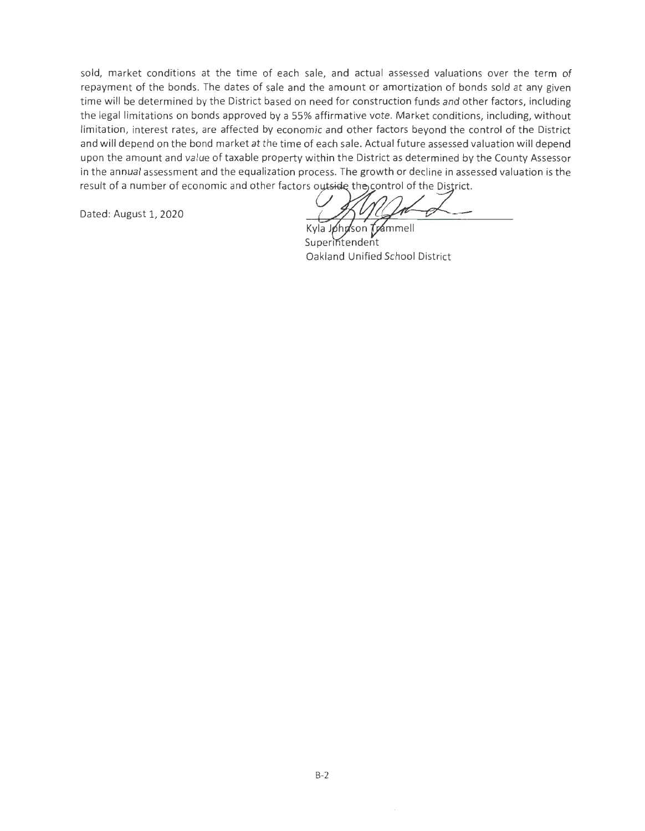sold, market conditions at the time of each sale, and actual assessed valuations over the term of repayment of the bonds. The dates of sale and the amount or amortization of bonds sold at any given time will be determined by the District based on need for construction funds and other factors, including the legal limitations on bonds approved by a 55% affirmative vote. Market conditions, including, without limitation, interest rates, are affected by economic and other factors beyond the control of the District and will depend on the bond market at the time of each sale. Actual future assessed valuation will depend upon the amount and value of taxable property within the District as determined by the County Assessor in the annual assessment and the equalization process. The growth or decline in assessed valuation is the result of a number of economic and other factors outside the control of the District.

Dated: August 1, 2020

Kyla Johnson Trammell Superintendent Oakland Unified School District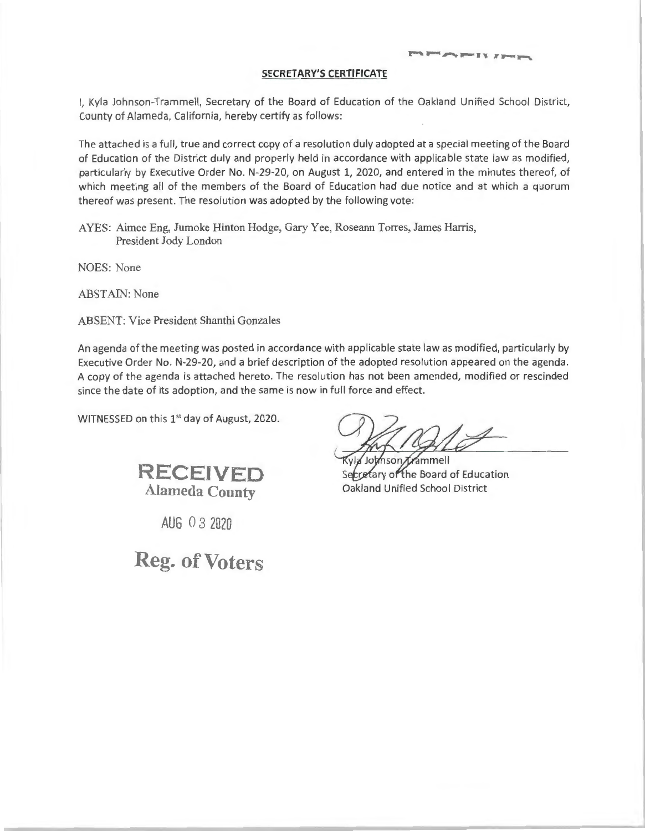I, Kyla Johnson-Trammell, Secretary of the Board of Education of the Oakland Unified School District, County of Alameda, California, hereby certify as follows :

The attached is a full, true and correct copy of a resolution duly adopted at a special meeting of the Board of Education of the District duly and properly held in accordance with applicable state law as modified, particularly by Executive Order No. N-29-20, on August 1, 2020, and entered in the minutes thereof, of which meeting all of the members of the Board of Education had due notice and at which a quorum thereof was present. The resolution was adopted by the following vote:

AYES: Aimee Eng, Jumoke Hinton Hodge, Gary Yee, Roseann Torres, James Harris, President Jody London

NOES: None

ABSTAIN: None

ABSENT: Vice President Shanthi Gonzales

An agenda of the meeting was posted in accordance with applicable state law as modified, particularly by Executive Order No. N-29-20, and a brief description of the adopted resolution appeared on the agenda . A copy of the agenda is attached hereto. The resolution has not been amended, modified or rescinded since the date of its adoption, and the same is now in full force and effect.

WITNESSED on this 1<sup>st</sup> day of August, 2020.



**AUG** O 3 2020

**Reg. of Voters** 

*<u>Administration</u>* 

via Johnson Arammell Secretary of the Board of Education Oakland Unified School District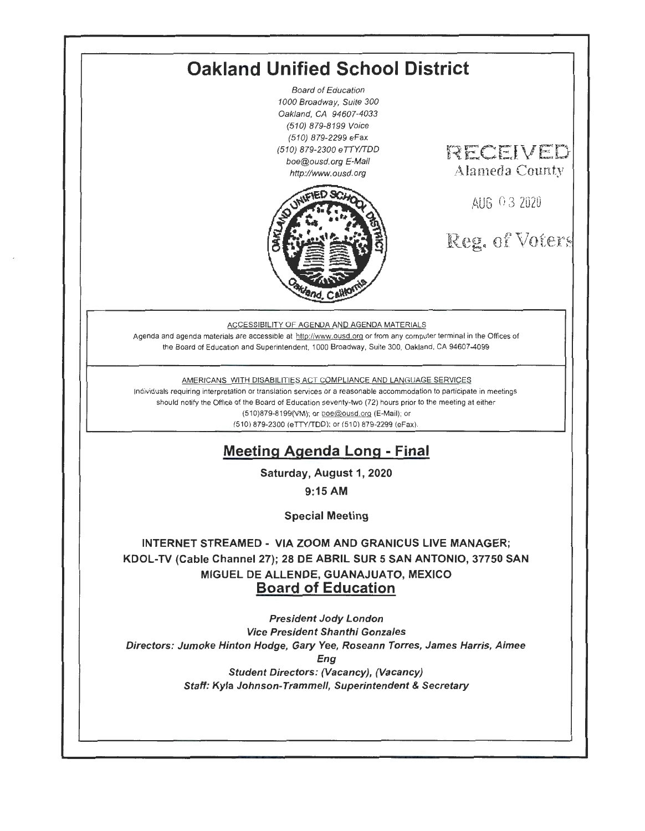# **Oakland Unified School District**

Board of Education 1000 Broadway, Suite 300 Oakland, CA 94607-4033 (510) 879-8199 Voice (510) 879-2299 eFax (510) 879-2300 eTTYITDD boe@ousd.org E-Mail http://www.ousd.org



# **R.ECEIVED Alan1eda County**

AUG O 3 2020

Reg. of Voter

#### ACCESSIBILITY OF AGENDA AND AGENDA MATERIALS

Agenda and agenda materials are accessible at http://www.ousd.org or from any computer terminal in the Offices of the Board of Education and Superintendent, 1000 Broadway, Suite 300, Oakland, CA 94607-4099

#### AMERICANS WITH DISABILITIES ACT COMPLIANCE AND LANGUAGE SERVICES

Individuals requiring interpretation or translation services or a reasonable accommodation to participate in meetings should notify the Office of the Board of Education seventy-two (72) hours prior to the meeting at either (510)879-8199(VM); or boe@ousd.org {E-Mail}; or (510) 879-2300 (eTTY/TDDl: or (510) 879-2299 (eFax).

## **Meeting Agenda Long** - **Final**

**Saturday, August 1, 2020** 

**9:15 AM** 

**Special Meeting** 

**INTERNET STREAMED** - **VIA ZOOM AND GRANICUS LIVE MANAGER; KOOL-TV (Cable Channel 27); 28 DE ABRIL SUR 5 SAN ANTONIO, 37750 SAN MIGUEL DE ALLENDE, GUANAJUATO, MEXICO Board of Education** 

President Jody London Vice President Shanthi Gonzales Directors: Jumoke Hinton Hodge, Gary Yee, Roseann Torres, James Harris, Aimee Eng Student Directors: (Vacancy), (Vacancy) Staff: Kyla Johnson-Trammell, Superintendent & Secretary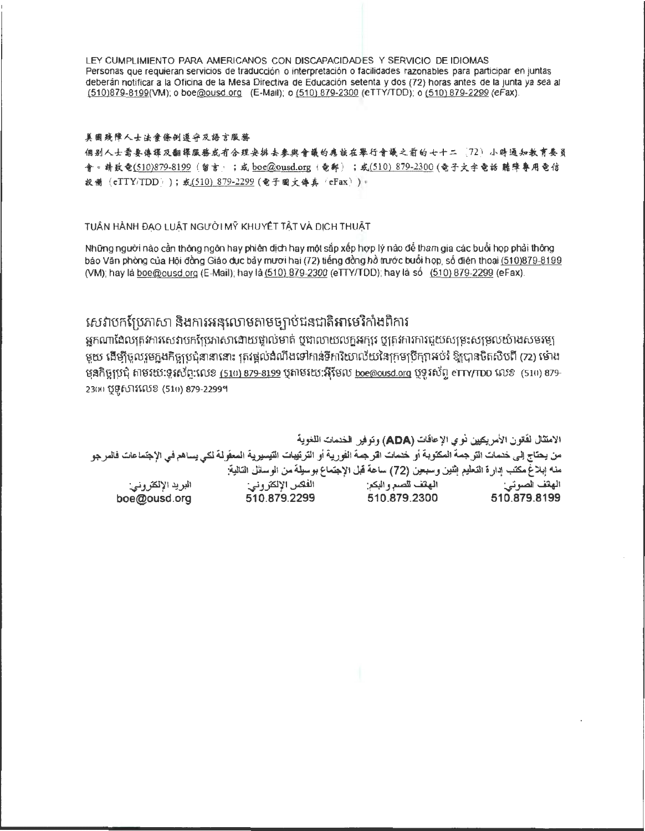LEY CUMPLIMIENTO PARA AMERICANOS CON OISCAPACIDADES Y SERVICIO OE IDIOMAS Personas que requieran servicios de traducción o interpretación o facilidades razonables para participar en juntas deberán notificar a la Oficina de la Mesa Directiva de Educación setenta y dos (72) horas antes de la junta ya sea al (510)879-8199(VM); o boe@ousd.org (E-Mail); o (510) 879-2300 (eTTYITDD); o (510) 879-2299 (eFax).

#### 美国残障人士法案僚创遵守及語言服務

個别人士需要俸課及翻課服務或有合理安排去參與會議的應該在舉行會議之前的七十二 (72) 小時通知教育奏員 **令 = 靖致奄(<u>510)879-8199</u> (留言:;或 <u>boe@ousd.or</u>g (奄郵);或(510) 879-2300</u> (奄子文宇奄話 聽障專用奄信<br>設備(eTTY/TDD));或(510) 879-2299 (奄子國文傳真 'eFax) ) =** 

TUÂN HÀNH ĐAO LUÂT NGƯỜI MỸ KHUYẾT TẤT VÀ DICH THUẤT

Những người nào cần thông ngôn hay phiên dịch hay một sắp xếp hợp lý nào để tham gia các buổi họp phải thông báo Văn phòng của Hội đồng Giáo dục bảy mươi hai (72) tiếng đồng hồ trước buổi họp, số điện thoại (510)879-8199 (VM); hay la boe@ousd.org (E-Mail); hay la (510) 879-2300 (eTTY/TDD); hay la so (510) 879-2299 (eFax).

## សេវាបកប្រែភាសា និងការអនុលោមតាមច្បាប់ជនជាតិអាមេរិកាំងពិការ

ijnW11f eruy~ iffi mutiuntfph lhll\al ru\!] rum~ ytn ruimmfj~fi'i~ 'QHi im m1 ~\:.i r1.m.5y~: tufl§rutm~tu~fi~:1 មយ ដើម្បីចលរមកងកិច្ចប្រជុំនានានោះ ត្រូវផ្តល់ងំណឹងទៅកាន់ទីការិយាល័យនៃក្រុមបើក្សាអប់រំ ឱ្យបានចិតសិបពី (72) ម៉ោង ម្មនកិច្ចប្រជុំ តាមរយៈទូរស័ព្ទ:លេខ (510) 879-8199 ឬតាមរយៈអ៊ីមែល <u>boe@ousd.org</u> ឬទូរស័ព្ទ eTTY/TDD លេខ (510) 879-23(X) び 5102 (510) 879-22999

الامتثال لقتون الأمر يكين نو ي الإعاقات (ADA) وتوفير الخدمات اللغوية من يحتاج إلى خنمات الترجمة المكتوبة أو خنمات اقرجمة الفورية أو الترتيبات التيسيرية المعفرلة لكي يساهم في الإجتماعات فالمرجو -..;, JJ6J'/1 *V.'*  boe@ousd.org -~1 . I':! · .11 • 41.... '-~ "I . U. <sup>~</sup> I.... (72) . ,· .... l -•1- ~11 i l <sup>~</sup> ¢,'.)I.,\~ . - ..,,-y 1.->8 - *y.'-* . f 1-r.' <sup>~</sup>. ..- *<sup>J</sup>*• . ... .• ~Jfl, I \_\_,.&ill :~ IJ ~ .....il+ll :\_;~ ~I  $510.879.2299$   $510.879.2300$   $510.879.8199$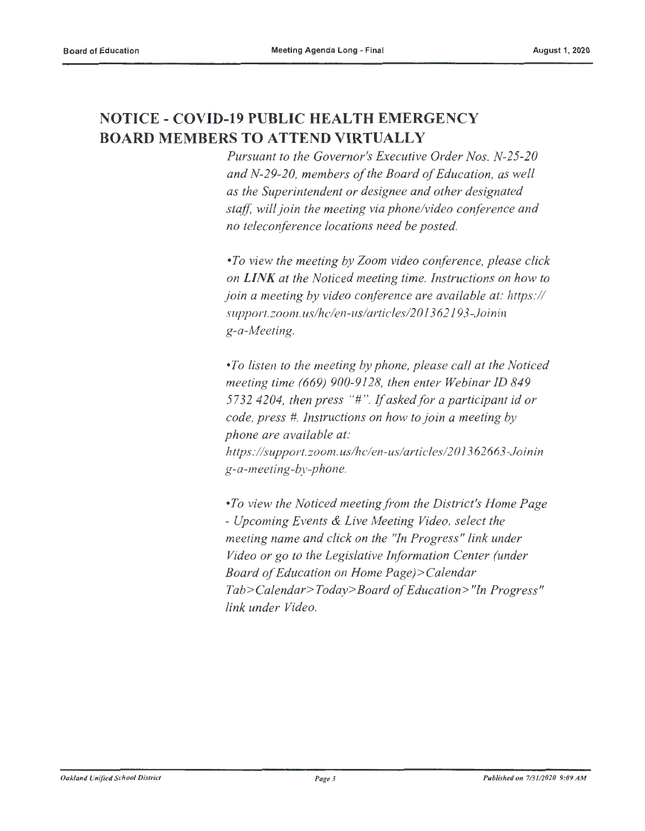## **NOTICE - COVID-19 PUBLIC HEALTH EMERGENCY BOARD MEMBERS TO ATTEND VIRTUALLY**

*Pursuant to the Governor's Executive Order Nos. N-25-20 and N-29-20, members of the Board of Education, as well as the Superintendent or designee and other designated staff, will join the meeting via phone/video conference and no teleconference locations need be posted.* 

*•To view the meeting by Zoom video conference, please click on LINK at the Noticed meeting time. Instructions on how to join a meeting by video conference are available at: https:// support.zoom. us/hc/en-us/articles/2013 62193-Joinin g-a-Meeting.* 

*•To listen to the meeting by phone, please call at the Noticed meeting time (669) 900-9128, then enter Webinar ID 849 5732 4204, then press* "#". *If asked/or a participant id or code, press* #. *Instructions on how to join a meeting by phone are available at: https://support.zoom.us/hclen-us/articles/201362663-Joinin g-a-meeting-by-phone.* 

*•To view the Noticed meeting from the District's Home Page* - *Upcoming Events & Live Meeting Video, select the meeting name and click on the "In Progress" link under Video or go to the Legislative Information Center (under Board of Education on Home Page)>Calendar Tab> Calendar> Today> Board of Education> "In Progress" link under Video.*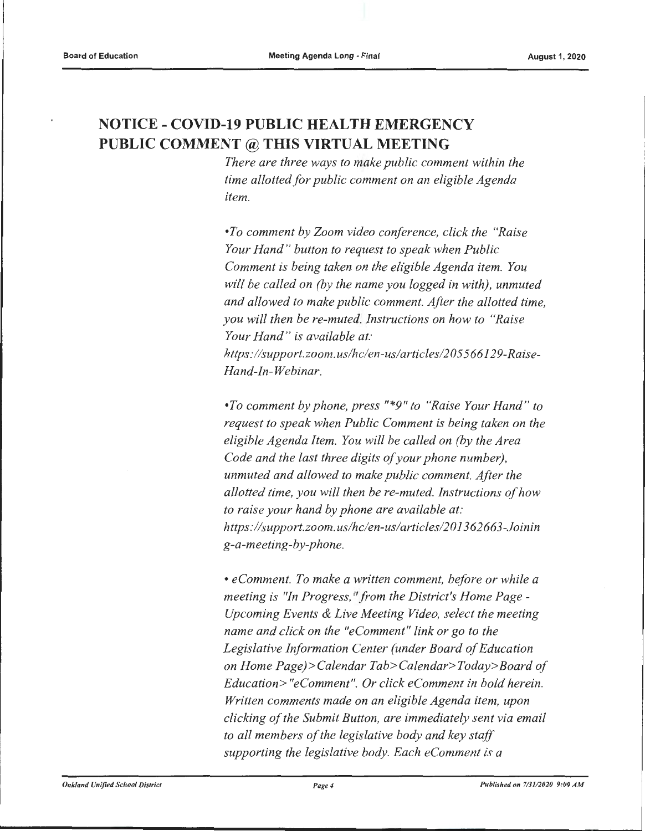## **NOTICE - COVID-19 PUBLIC HEALTH EMERGENCY PUBLIC COMMENT@ THIS VIRTUAL MEETING**

*There are three ways to make public comment within the time allotted for public comment on an eligible Agenda item.* 

*•To comment by Zoom video conference, click the "Raise Your Hand " button to request to speak when Public Comment is being taken on the eligible Agenda item. You will be called on (by the name you logged in with), unmuted and allowed to make public comment. After the allotted time, you will then be re-muted. Instructions on how to "Raise Your Hand " is available at:*  https://support.zoom.us/hc/en-us/articles/205566129-Raise-*H and-In-Webinar.* 

*•To comment by phone, press "\*9" to "Raise Your Hand " to request to speak when Public Comment is being taken on the eligible Agenda Item. You will be called on (by the Area Code and the last three digits of your phone number), unmuted and allowed to make public comment. After the allotted time, you will then be re-muted. Instructions of how to raise your hand by phone are available at: https:llsupport.zoom.us/hc/en-uslarticles/201362663-Joinin g-a-meeting-by-phone.* 

• *eComment. To make a written comment, before or while a meeting is "In Progress, "from the District's Home Page* - *Upcoming Events & Live Meeting Video, select the meeting name and click on the "eComment" link or go to the Legislative Information Center (under Board of Education on Home Page)>Calendar Tab>Calendar>Today>Board of Education> "eComment". Or click eComment in bold herein. Written comments made on an eligible Agenda item, upon clicking of the Submit Button, are immediately sent via email to all members of the legislative body and key staff supporting the legislative body. Each eComment is a*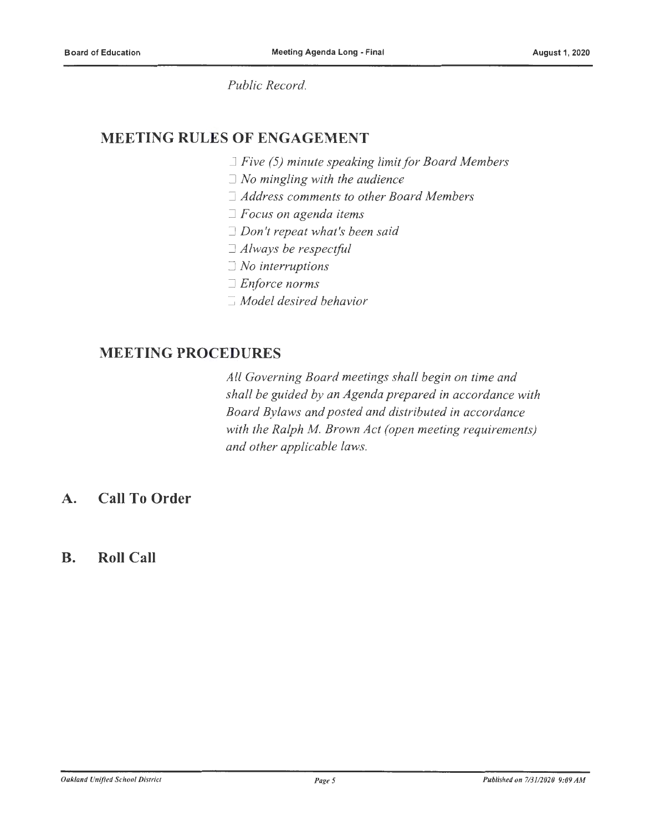*Public Record.* 

## **MEETING RULES OF ENGAGEMENT**

- □ *Five (5) minute speaking limit for Board Members*
- □ *No mingling with the audience*
- □ *Address comments to other Board Members*
- □ *Focus on agenda items*
- □ *Don't repeat what's been said*
- □ *Always be respectful*
- □ *No interruptions*
- □ *Enforce norms*
- □ *Model desired behavior*

### **MEETING PROCEDURES**

*All Governing Board meetings shall begin on time and shall be guided by an Agenda prepared in accordance with Board By laws and posted and distributed in accordance with the Ralph M. Brown Act (open meeting requirements) and other applicable laws.* 

## **A. Call To Order**

### **B. Roll Call**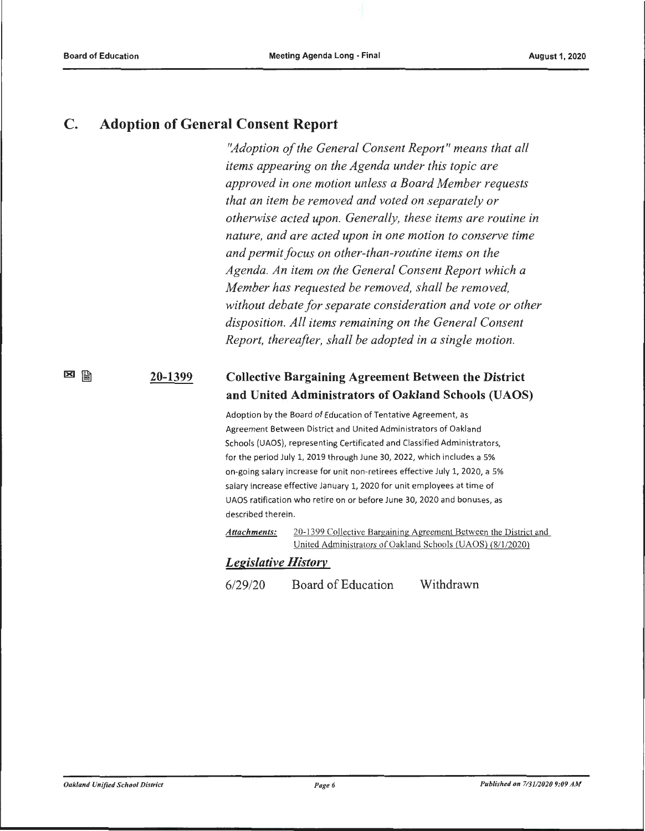図圖

### **C. Adoption of General Consent Report**

*"Adoption of the General Consent Report" means that all items appearing on the Agenda under this topic are approved in one motion unless a Board Member requests that an item be removed and voted on separately or otherwise acted upon. Generally, these items are routine in nature, and are acted upon in one motion to conserve time and permit focus on other-than-routine items on the Agenda. An item on the General Consent Report which a Member has requested be removed, shall be removed, without debate for separate consideration and vote or other disposition. All items remaining on the General Consent Report, thereafter, shall be adopted in a single motion.* 

#### **20-1399 Collective Bargaining Agreement Between the District and United Administrators of Oakland Schools (UAOS)**

Adoption by the Board of Education of Tentative Agreement, as Agreement Between District and United Administrators of Oakland Schools (UAOS), representing Certificated and Classified Administrators, for the period July 1, 2019 through June 30, 2022, which includes a 5% on-going salary increase for unit non-retirees effective July 1, 2020, a 5% salary increase effective January 1, 2020 for unit employees at time of UAOS ratification who retire on or before June 30, 2020 and bonuses, as described therein.

*Attachments:* 20-1399 Collective Bargaining Agreement Between the District and United Administrators of Oakland Schools (UAOS) (8/1/2020)

### *Legislative History*

6/29/20 Board of Education Withdrawn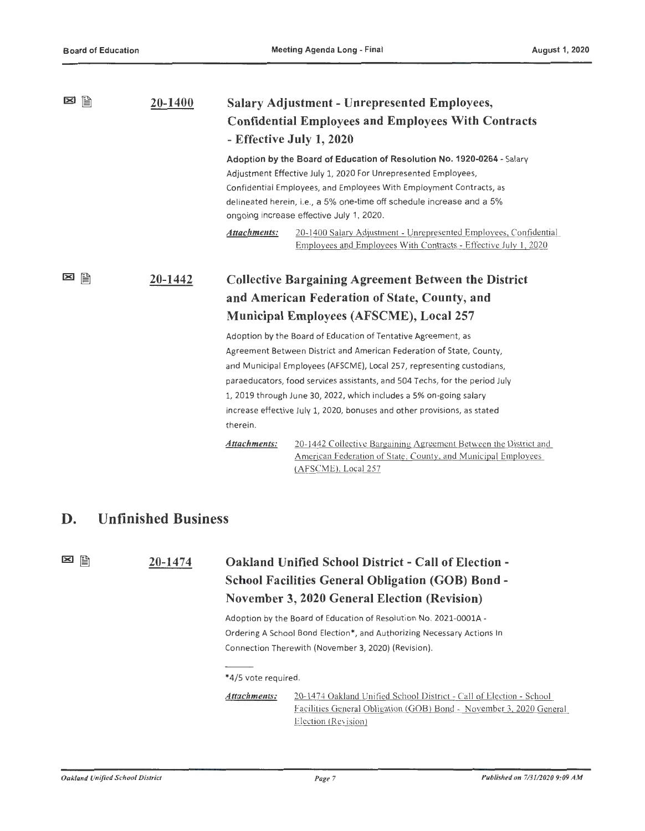| ⊠<br>B  | 20-1400 | <b>Salary Adjustment - Unrepresented Employees,</b>                                                                                                                                                                                                                                                                                   |                                                                                                                                      |  |
|---------|---------|---------------------------------------------------------------------------------------------------------------------------------------------------------------------------------------------------------------------------------------------------------------------------------------------------------------------------------------|--------------------------------------------------------------------------------------------------------------------------------------|--|
|         |         | <b>Confidential Employees and Employees With Contracts</b>                                                                                                                                                                                                                                                                            |                                                                                                                                      |  |
|         |         |                                                                                                                                                                                                                                                                                                                                       | - Effective July 1, 2020                                                                                                             |  |
|         |         | Adoption by the Board of Education of Resolution No. 1920-0264 - Salary<br>Adjustment Effective July 1, 2020 For Unrepresented Employees,<br>Confidential Employees, and Employees With Employment Contracts, as<br>delineated herein, i.e., a 5% one-time off schedule increase and a 5%<br>ongoing increase effective July 1, 2020. |                                                                                                                                      |  |
|         |         | Attachments:                                                                                                                                                                                                                                                                                                                          | 20-1400 Salary Adjustment - Unrepresented Employees, Confidential<br>Employees and Employees With Contracts - Effective July 1, 2020 |  |
| 誾<br>[≍ | 20-1442 | <b>Collective Bargaining Agreement Between the District</b>                                                                                                                                                                                                                                                                           |                                                                                                                                      |  |
|         |         |                                                                                                                                                                                                                                                                                                                                       | and American Federation of State, County, and                                                                                        |  |
|         |         | <b>Municipal Employees (AFSCME), Local 257</b>                                                                                                                                                                                                                                                                                        |                                                                                                                                      |  |
|         |         |                                                                                                                                                                                                                                                                                                                                       | Adoption by the Board of Education of Tentative Agreement, as                                                                        |  |
|         |         |                                                                                                                                                                                                                                                                                                                                       | Agreement Between District and American Federation of State, County,                                                                 |  |
|         |         |                                                                                                                                                                                                                                                                                                                                       | and Municipal Employees (AFSCME), Local 257, representing custodians,                                                                |  |
|         |         |                                                                                                                                                                                                                                                                                                                                       | paraeducators, food services assistants, and 504 Techs, for the period July                                                          |  |
|         |         | 1, 2019 through June 30, 2022, which includes a 5% on-going salary                                                                                                                                                                                                                                                                    |                                                                                                                                      |  |
|         |         | increase effective July 1, 2020, bonuses and other provisions, as stated                                                                                                                                                                                                                                                              |                                                                                                                                      |  |
|         |         | therein.                                                                                                                                                                                                                                                                                                                              |                                                                                                                                      |  |
|         |         | Attachments:                                                                                                                                                                                                                                                                                                                          | 20-1442 Collective Bargaining Agreement Between the District and<br>American Federation of State, County, and Municipal Employees    |  |

## **D. Unfinished Business**

**20-1474** 

図

## **Oakland Unified School District - Call of Election** - **School Facilities General Obligation (GOB) Bond** - **November 3, 2020 General Election (Revision)**

(AFSCME), Local 257

Adoption by the Board of Education of Resolution No. 2021-000lA - Ordering A School Bond Election\*, and Authorizing Necessary Actions In Connection Therewith {November 3, 2020) (Revision).

<sup>\*4/5</sup> vote required.

*Attachments:* 20-1474 Oakland Unified School District - Call of Election - School Facilities General Obligation (GOB) Bond - November 3. 2020 General Election (Revision)